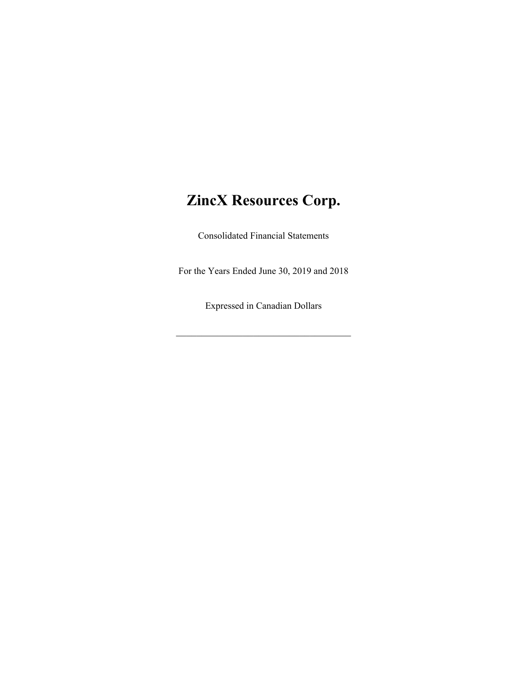# **ZincX Resources Corp.**

Consolidated Financial Statements

For the Years Ended June 30, 2019 and 2018

Expressed in Canadian Dollars

\_\_\_\_\_\_\_\_\_\_\_\_\_\_\_\_\_\_\_\_\_\_\_\_\_\_\_\_\_\_\_\_\_\_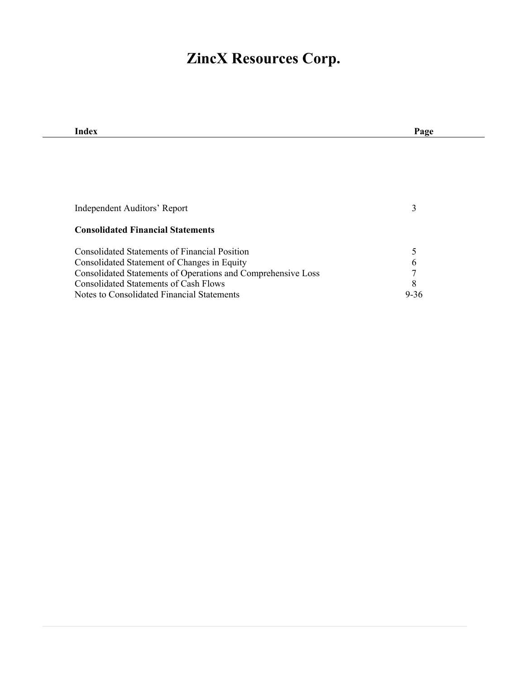# **ZincX Resources Corp.**

| Index                                                        | Page     |
|--------------------------------------------------------------|----------|
|                                                              |          |
|                                                              |          |
|                                                              |          |
|                                                              |          |
|                                                              |          |
| Independent Auditors' Report                                 | 3        |
|                                                              |          |
| <b>Consolidated Financial Statements</b>                     |          |
| <b>Consolidated Statements of Financial Position</b>         | 5        |
| Consolidated Statement of Changes in Equity                  | 6        |
| Consolidated Statements of Operations and Comprehensive Loss | 7        |
| <b>Consolidated Statements of Cash Flows</b>                 | 8        |
| Notes to Consolidated Financial Statements                   | $9 - 36$ |
|                                                              |          |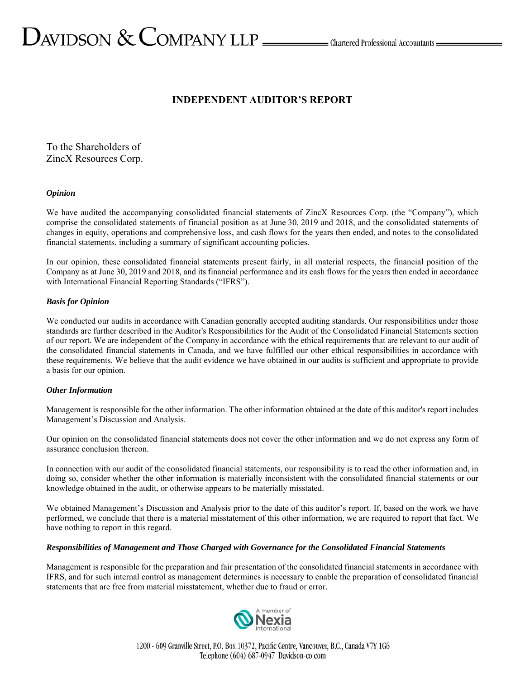# $D_{\text{AVIDSON}} \&$  COMPANY LLP  $\_\_\_\_\$ Chartered Professional Accountants  $\_\_\$

# **INDEPENDENT AUDITOR'S REPORT**

To the Shareholders of ZincX Resources Corp.

#### *Opinion*

We have audited the accompanying consolidated financial statements of ZincX Resources Corp. (the "Company"), which comprise the consolidated statements of financial position as at June 30, 2019 and 2018, and the consolidated statements of changes in equity, operations and comprehensive loss, and cash flows for the years then ended, and notes to the consolidated financial statements, including a summary of significant accounting policies.

In our opinion, these consolidated financial statements present fairly, in all material respects, the financial position of the Company as at June 30, 2019 and 2018, and its financial performance and its cash flows for the years then ended in accordance with International Financial Reporting Standards ("IFRS").

#### *Basis for Opinion*

We conducted our audits in accordance with Canadian generally accepted auditing standards. Our responsibilities under those standards are further described in the Auditor's Responsibilities for the Audit of the Consolidated Financial Statements section of our report. We are independent of the Company in accordance with the ethical requirements that are relevant to our audit of the consolidated financial statements in Canada, and we have fulfilled our other ethical responsibilities in accordance with these requirements. We believe that the audit evidence we have obtained in our audits is sufficient and appropriate to provide a basis for our opinion.

#### *Other Information*

Management is responsible for the other information. The other information obtained at the date of this auditor's report includes Management's Discussion and Analysis.

Our opinion on the consolidated financial statements does not cover the other information and we do not express any form of assurance conclusion thereon.

In connection with our audit of the consolidated financial statements, our responsibility is to read the other information and, in doing so, consider whether the other information is materially inconsistent with the consolidated financial statements or our knowledge obtained in the audit, or otherwise appears to be materially misstated.

We obtained Management's Discussion and Analysis prior to the date of this auditor's report. If, based on the work we have performed, we conclude that there is a material misstatement of this other information, we are required to report that fact. We have nothing to report in this regard.

#### *Responsibilities of Management and Those Charged with Governance for the Consolidated Financial Statements*

Management is responsible for the preparation and fair presentation of the consolidated financial statements in accordance with IFRS, and for such internal control as management determines is necessary to enable the preparation of consolidated financial statements that are free from material misstatement, whether due to fraud or error.

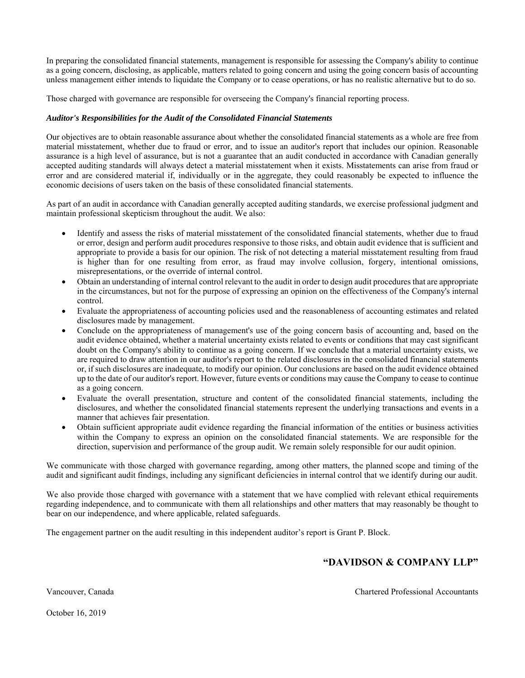In preparing the consolidated financial statements, management is responsible for assessing the Company's ability to continue as a going concern, disclosing, as applicable, matters related to going concern and using the going concern basis of accounting unless management either intends to liquidate the Company or to cease operations, or has no realistic alternative but to do so.

Those charged with governance are responsible for overseeing the Company's financial reporting process.

#### *Auditor's Responsibilities for the Audit of the Consolidated Financial Statements*

Our objectives are to obtain reasonable assurance about whether the consolidated financial statements as a whole are free from material misstatement, whether due to fraud or error, and to issue an auditor's report that includes our opinion. Reasonable assurance is a high level of assurance, but is not a guarantee that an audit conducted in accordance with Canadian generally accepted auditing standards will always detect a material misstatement when it exists. Misstatements can arise from fraud or error and are considered material if, individually or in the aggregate, they could reasonably be expected to influence the economic decisions of users taken on the basis of these consolidated financial statements.

As part of an audit in accordance with Canadian generally accepted auditing standards, we exercise professional judgment and maintain professional skepticism throughout the audit. We also:

- Identify and assess the risks of material misstatement of the consolidated financial statements, whether due to fraud or error, design and perform audit procedures responsive to those risks, and obtain audit evidence that is sufficient and appropriate to provide a basis for our opinion. The risk of not detecting a material misstatement resulting from fraud is higher than for one resulting from error, as fraud may involve collusion, forgery, intentional omissions, misrepresentations, or the override of internal control.
- Obtain an understanding of internal control relevant to the audit in order to design audit procedures that are appropriate in the circumstances, but not for the purpose of expressing an opinion on the effectiveness of the Company's internal control.
- Evaluate the appropriateness of accounting policies used and the reasonableness of accounting estimates and related disclosures made by management.
- Conclude on the appropriateness of management's use of the going concern basis of accounting and, based on the audit evidence obtained, whether a material uncertainty exists related to events or conditions that may cast significant doubt on the Company's ability to continue as a going concern. If we conclude that a material uncertainty exists, we are required to draw attention in our auditor's report to the related disclosures in the consolidated financial statements or, if such disclosures are inadequate, to modify our opinion. Our conclusions are based on the audit evidence obtained up to the date of our auditor's report. However, future events or conditions may cause the Company to cease to continue as a going concern.
- Evaluate the overall presentation, structure and content of the consolidated financial statements, including the disclosures, and whether the consolidated financial statements represent the underlying transactions and events in a manner that achieves fair presentation.
- Obtain sufficient appropriate audit evidence regarding the financial information of the entities or business activities within the Company to express an opinion on the consolidated financial statements. We are responsible for the direction, supervision and performance of the group audit. We remain solely responsible for our audit opinion.

We communicate with those charged with governance regarding, among other matters, the planned scope and timing of the audit and significant audit findings, including any significant deficiencies in internal control that we identify during our audit.

We also provide those charged with governance with a statement that we have complied with relevant ethical requirements regarding independence, and to communicate with them all relationships and other matters that may reasonably be thought to bear on our independence, and where applicable, related safeguards.

The engagement partner on the audit resulting in this independent auditor's report is Grant P. Block.

# **"DAVIDSON & COMPANY LLP"**

Vancouver, Canada Chartered Professional Accountants

October 16, 2019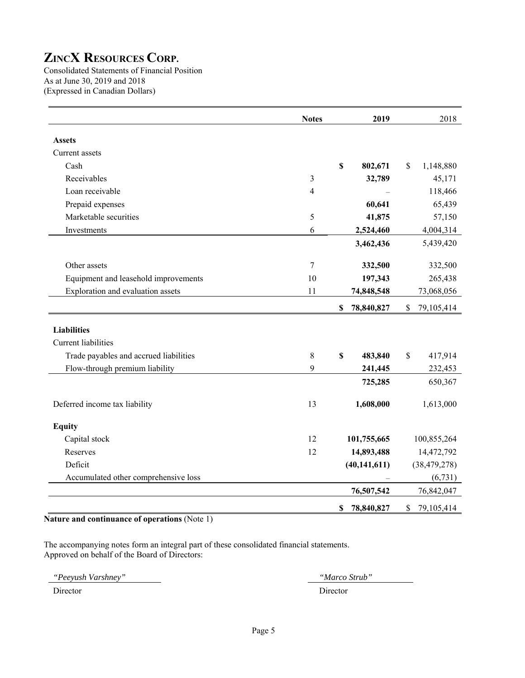Consolidated Statements of Financial Position As at June 30, 2019 and 2018 (Expressed in Canadian Dollars)

|                                        | <b>Notes</b>   | 2019                   | 2018             |
|----------------------------------------|----------------|------------------------|------------------|
| <b>Assets</b>                          |                |                        |                  |
| Current assets                         |                |                        |                  |
| Cash                                   |                | $\mathbf S$<br>802,671 | 1,148,880<br>\$  |
| Receivables                            | 3              | 32,789                 | 45,171           |
| Loan receivable                        | $\overline{4}$ |                        | 118,466          |
| Prepaid expenses                       |                | 60,641                 | 65,439           |
| Marketable securities                  | 5              | 41,875                 | 57,150           |
| Investments                            | 6              | 2,524,460              | 4,004,314        |
|                                        |                | 3,462,436              | 5,439,420        |
| Other assets                           | 7              | 332,500                | 332,500          |
| Equipment and leasehold improvements   | 10             | 197,343                | 265,438          |
| Exploration and evaluation assets      | 11             | 74,848,548             | 73,068,056       |
|                                        |                | \$<br>78,840,827       | \$<br>79,105,414 |
| <b>Liabilities</b>                     |                |                        |                  |
| <b>Current</b> liabilities             |                |                        |                  |
| Trade payables and accrued liabilities | $8\,$          | \$<br>483,840          | \$<br>417,914    |
| Flow-through premium liability         | 9              | 241,445                | 232,453          |
|                                        |                | 725,285                | 650,367          |
| Deferred income tax liability          | 13             | 1,608,000              | 1,613,000        |
| <b>Equity</b>                          |                |                        |                  |
| Capital stock                          | 12             | 101,755,665            | 100,855,264      |
| Reserves                               | 12             | 14,893,488             | 14,472,792       |
| Deficit                                |                | (40, 141, 611)         | (38, 479, 278)   |
| Accumulated other comprehensive loss   |                |                        | (6, 731)         |
|                                        |                | 76,507,542             | 76,842,047       |
|                                        |                | \$<br>78,840,827       | \$<br>79,105,414 |

**Nature and continuance of operations** (Note 1)

The accompanying notes form an integral part of these consolidated financial statements. Approved on behalf of the Board of Directors:

*"Peeyush Varshney" "Marco Strub"*  Director Director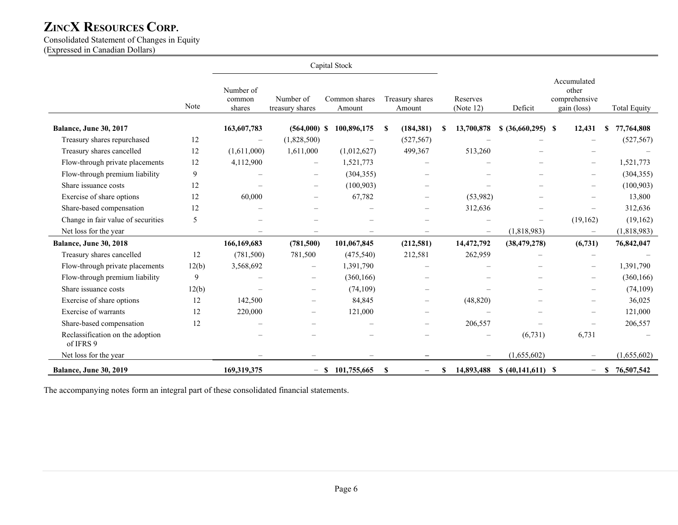Consolidated Statement of Changes in Equity

(Expressed in Canadian Dollars)

|                                               |       | Capital Stock                 |                              |                          |   |                           |    |                          |                    |                                                      |               |                     |
|-----------------------------------------------|-------|-------------------------------|------------------------------|--------------------------|---|---------------------------|----|--------------------------|--------------------|------------------------------------------------------|---------------|---------------------|
|                                               | Note  | Number of<br>common<br>shares | Number of<br>treasury shares | Common shares<br>Amount  |   | Treasury shares<br>Amount |    | Reserves<br>(Note 12)    | Deficit            | Accumulated<br>other<br>comprehensive<br>gain (loss) |               | <b>Total Equity</b> |
| Balance, June 30, 2017                        |       | 163,607,783                   | $(564,000)$ \$               | 100,896,175              | S | (184, 381)                | S  | 13,700,878               | $$ (36,660,295) \$ | 12,431                                               | \$            | 77,764,808          |
| Treasury shares repurchased                   | 12    | $\overline{\phantom{m}}$      | (1,828,500)                  | $\frac{1}{2}$            |   | (527, 567)                |    |                          |                    |                                                      |               | (527, 567)          |
| Treasury shares cancelled                     | 12    | (1,611,000)                   | 1,611,000                    | (1,012,627)              |   | 499,367                   |    | 513,260                  |                    |                                                      |               |                     |
| Flow-through private placements               | 12    | 4,112,900                     | $\equiv$                     | 1,521,773                |   | $\qquad \qquad -$         |    |                          |                    | $\overline{\phantom{0}}$                             |               | 1,521,773           |
| Flow-through premium liability                | 9     |                               |                              | (304, 355)               |   |                           |    |                          |                    |                                                      |               | (304, 355)          |
| Share issuance costs                          | 12    |                               |                              | (100, 903)               |   |                           |    |                          |                    |                                                      |               | (100, 903)          |
| Exercise of share options                     | 12    | 60,000                        | $\equiv$                     | 67,782                   |   | $\overline{\phantom{m}}$  |    | (53,982)                 |                    | $\overline{\phantom{m}}$                             |               | 13,800              |
| Share-based compensation                      | 12    |                               |                              |                          |   | $\equiv$                  |    | 312,636                  |                    |                                                      |               | 312,636             |
| Change in fair value of securities            | 5     |                               |                              |                          |   |                           |    |                          |                    | (19,162)                                             |               | (19, 162)           |
| Net loss for the year                         |       |                               |                              |                          |   | $\overline{\phantom{m}}$  |    | $\overline{\phantom{0}}$ | (1,818,983)        | $\overline{\phantom{m}}$                             |               | (1,818,983)         |
| Balance, June 30, 2018                        |       | 166,169,683                   | (781, 500)                   | 101,067,845              |   | (212, 581)                |    | 14,472,792               | (38, 479, 278)     | (6,731)                                              |               | 76,842,047          |
| Treasury shares cancelled                     | 12    | (781,500)                     | 781,500                      | (475,540)                |   | 212,581                   |    | 262,959                  |                    |                                                      |               |                     |
| Flow-through private placements               | 12(b) | 3,568,692                     |                              | 1,391,790                |   |                           |    |                          |                    |                                                      |               | 1,391,790           |
| Flow-through premium liability                | 9     |                               | $\overline{\phantom{0}}$     | (360, 166)               |   |                           |    |                          |                    | $\overline{\phantom{m}}$                             |               | (360, 166)          |
| Share issuance costs                          | 12(b) |                               | $\overline{\phantom{0}}$     | (74, 109)                |   |                           |    |                          |                    |                                                      |               | (74, 109)           |
| Exercise of share options                     | 12    | 142,500                       | $\overline{\phantom{a}}$     | 84,845                   |   | $\overline{\phantom{0}}$  |    | (48, 820)                |                    |                                                      |               | 36,025              |
| Exercise of warrants                          | 12    | 220,000                       | $\overline{\phantom{0}}$     | 121,000                  |   | $\equiv$                  |    |                          |                    | $\overline{\phantom{0}}$                             |               | 121,000             |
| Share-based compensation                      | 12    |                               | $\overline{\phantom{0}}$     | $\overline{\phantom{m}}$ |   | $\overline{\phantom{m}}$  |    | 206,557                  |                    |                                                      |               | 206,557             |
| Reclassification on the adoption<br>of IFRS 9 |       |                               |                              |                          |   |                           |    |                          | (6,731)            | 6,731                                                |               |                     |
| Net loss for the year                         |       |                               |                              |                          |   |                           |    |                          | (1,655,602)        |                                                      |               | (1,655,602)         |
| <b>Balance, June 30, 2019</b>                 |       | 169,319,375                   |                              | 101,755,665<br>$-$ \$    | S | $\overline{\phantom{m}}$  | \$ | 14,893,488               | $$ (40,141,611) \$ | $\qquad \qquad -$                                    | <sup>\$</sup> | 76,507,542          |

The accompanying notes form an integral part of these consolidated financial statements.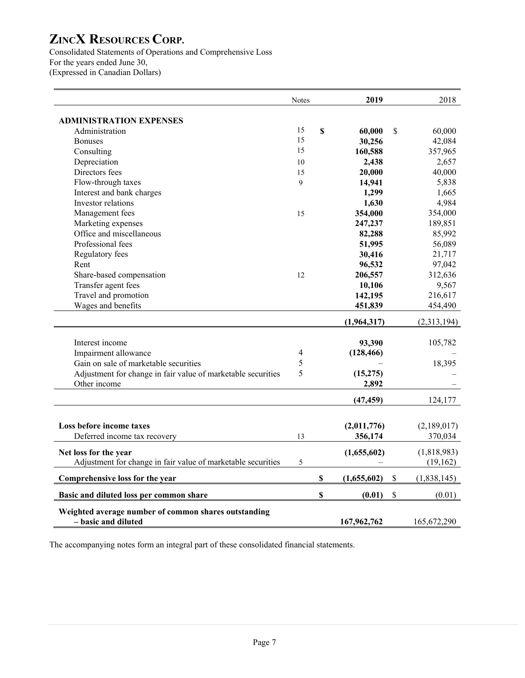Consolidated Statements of Operations and Comprehensive Loss For the years ended June 30, (Expressed in Canadian Dollars)

|                                                                             | Notes                    |                           | 2019        | 2018              |
|-----------------------------------------------------------------------------|--------------------------|---------------------------|-------------|-------------------|
| <b>ADMINISTRATION EXPENSES</b>                                              |                          |                           |             |                   |
| Administration                                                              | 15                       | \$                        | 60,000      | \$<br>60,000      |
| <b>Bonuses</b>                                                              | 15                       |                           | 30,256      | 42,084            |
| Consulting                                                                  | 15                       |                           | 160,588     | 357,965           |
| Depreciation                                                                | 10                       |                           | 2,438       | 2,657             |
| Directors fees                                                              | 15                       |                           | 20,000      | 40,000            |
| Flow-through taxes                                                          | 9                        |                           | 14,941      | 5,838             |
| Interest and bank charges                                                   |                          |                           | 1,299       | 1,665             |
| Investor relations                                                          |                          |                           | 1,630       | 4,984             |
| Management fees                                                             | 15                       |                           | 354,000     | 354,000           |
| Marketing expenses                                                          |                          |                           | 247,237     | 189,851           |
| Office and miscellaneous                                                    |                          |                           | 82,288      | 85,992            |
| Professional fees                                                           |                          |                           | 51,995      | 56,089            |
| Regulatory fees                                                             |                          |                           | 30,416      | 21,717            |
| Rent                                                                        |                          |                           | 96,532      | 97,042            |
| Share-based compensation                                                    | 12                       |                           | 206,557     | 312,636           |
| Transfer agent fees                                                         |                          |                           | 10,106      | 9,567             |
| Travel and promotion                                                        |                          |                           | 142,195     | 216,617           |
| Wages and benefits                                                          |                          |                           | 451,839     | 454,490           |
|                                                                             |                          |                           | (1,964,317) | (2,313,194)       |
| Interest income                                                             |                          |                           | 93,390      | 105,782           |
| Impairment allowance                                                        | $\overline{\mathcal{A}}$ |                           | (128, 466)  |                   |
| Gain on sale of marketable securities                                       | 5                        |                           |             | 18,395            |
| Adjustment for change in fair value of marketable securities                | 5                        |                           | (15, 275)   |                   |
| Other income                                                                |                          |                           | 2,892       |                   |
|                                                                             |                          |                           | (47, 459)   | 124,177           |
|                                                                             |                          |                           |             |                   |
| Loss before income taxes                                                    |                          |                           | (2,011,776) | (2,189,017)       |
| Deferred income tax recovery                                                | 13                       |                           | 356,174     | 370,034           |
| Net loss for the year                                                       |                          |                           | (1,655,602) | (1,818,983)       |
| Adjustment for change in fair value of marketable securities                | 5                        |                           |             | (19, 162)         |
| Comprehensive loss for the year                                             |                          | $\boldsymbol{\mathsf{S}}$ | (1,655,602) | \$<br>(1,838,145) |
| Basic and diluted loss per common share                                     |                          | $\boldsymbol{\mathsf{S}}$ | (0.01)      | \$<br>(0.01)      |
| Weighted average number of common shares outstanding<br>- basic and diluted |                          |                           | 167,962,762 | 165,672,290       |

The accompanying notes form an integral part of these consolidated financial statements.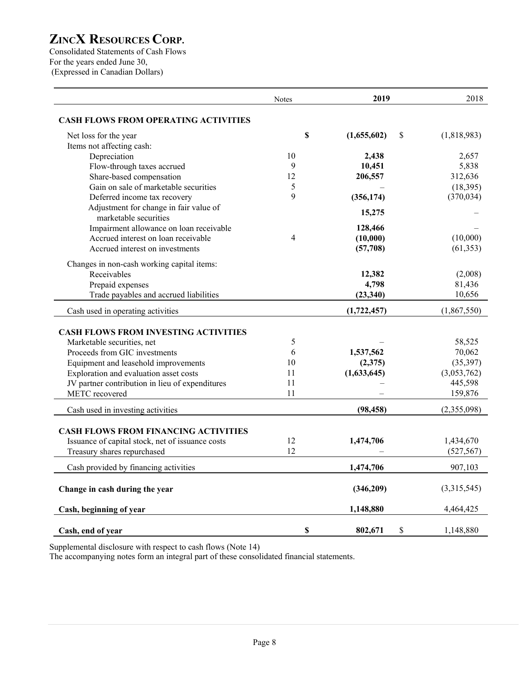Consolidated Statements of Cash Flows For the years ended June 30, (Expressed in Canadian Dollars)

|                                                                 | <b>Notes</b>   | 2019              | 2018        |
|-----------------------------------------------------------------|----------------|-------------------|-------------|
| <b>CASH FLOWS FROM OPERATING ACTIVITIES</b>                     |                |                   |             |
| Net loss for the year                                           | $\mathbf S$    | (1,655,602)<br>\$ | (1,818,983) |
| Items not affecting cash:                                       |                |                   |             |
| Depreciation                                                    | 10             | 2,438             | 2,657       |
| Flow-through taxes accrued                                      | 9              | 10,451            | 5,838       |
| Share-based compensation                                        | 12             | 206,557           | 312,636     |
| Gain on sale of marketable securities                           | 5              |                   | (18, 395)   |
| Deferred income tax recovery                                    | 9              | (356, 174)        | (370, 034)  |
| Adjustment for change in fair value of<br>marketable securities |                | 15,275            |             |
| Impairment allowance on loan receivable                         |                | 128,466           |             |
| Accrued interest on loan receivable                             | $\overline{4}$ | (10,000)          | (10,000)    |
| Accrued interest on investments                                 |                | (57,708)          | (61, 353)   |
| Changes in non-cash working capital items:                      |                |                   |             |
| Receivables                                                     |                | 12,382            | (2,008)     |
| Prepaid expenses                                                |                | 4,798             | 81,436      |
| Trade payables and accrued liabilities                          |                | (23, 340)         | 10,656      |
| Cash used in operating activities                               |                | (1,722,457)       | (1,867,550) |
| <b>CASH FLOWS FROM INVESTING ACTIVITIES</b>                     |                |                   |             |
| Marketable securities, net                                      | 5              |                   | 58,525      |
| Proceeds from GIC investments                                   | 6              | 1,537,562         | 70,062      |
| Equipment and leasehold improvements                            | 10             | (2,375)           | (35, 397)   |
| Exploration and evaluation asset costs                          | 11             | (1,633,645)       | (3,053,762) |
| JV partner contribution in lieu of expenditures                 | 11             |                   | 445,598     |
| METC recovered                                                  | 11             |                   | 159,876     |
| Cash used in investing activities                               |                | (98, 458)         | (2,355,098) |
|                                                                 |                |                   |             |
| <b>CASH FLOWS FROM FINANCING ACTIVITIES</b>                     |                |                   |             |
| Issuance of capital stock, net of issuance costs                | 12             | 1,474,706         | 1,434,670   |
| Treasury shares repurchased                                     | 12             |                   | (527, 567)  |
| Cash provided by financing activities                           |                | 1,474,706         | 907,103     |
| Change in cash during the year                                  |                | (346,209)         | (3,315,545) |
| Cash, beginning of year                                         |                | 1,148,880         | 4,464,425   |
| Cash, end of year                                               | \$             | \$<br>802,671     | 1,148,880   |

Supplemental disclosure with respect to cash flows (Note 14)

The accompanying notes form an integral part of these consolidated financial statements.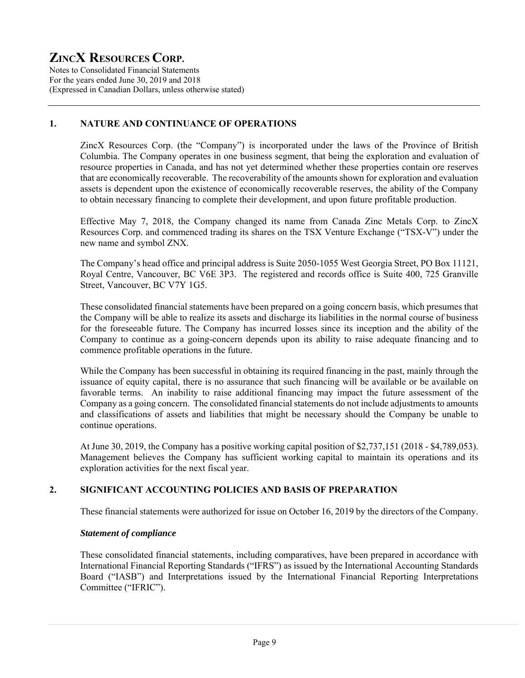Notes to Consolidated Financial Statements For the years ended June 30, 2019 and 2018 (Expressed in Canadian Dollars, unless otherwise stated)

# **1. NATURE AND CONTINUANCE OF OPERATIONS**

ZincX Resources Corp. (the "Company") is incorporated under the laws of the Province of British Columbia. The Company operates in one business segment, that being the exploration and evaluation of resource properties in Canada, and has not yet determined whether these properties contain ore reserves that are economically recoverable. The recoverability of the amounts shown for exploration and evaluation assets is dependent upon the existence of economically recoverable reserves, the ability of the Company to obtain necessary financing to complete their development, and upon future profitable production.

Effective May 7, 2018, the Company changed its name from Canada Zinc Metals Corp. to ZincX Resources Corp. and commenced trading its shares on the TSX Venture Exchange ("TSX-V") under the new name and symbol ZNX.

The Company's head office and principal address is Suite 2050-1055 West Georgia Street, PO Box 11121, Royal Centre, Vancouver, BC V6E 3P3. The registered and records office is Suite 400, 725 Granville Street, Vancouver, BC V7Y 1G5.

These consolidated financial statements have been prepared on a going concern basis, which presumes that the Company will be able to realize its assets and discharge its liabilities in the normal course of business for the foreseeable future. The Company has incurred losses since its inception and the ability of the Company to continue as a going-concern depends upon its ability to raise adequate financing and to commence profitable operations in the future.

While the Company has been successful in obtaining its required financing in the past, mainly through the issuance of equity capital, there is no assurance that such financing will be available or be available on favorable terms. An inability to raise additional financing may impact the future assessment of the Company as a going concern. The consolidated financial statements do not include adjustments to amounts and classifications of assets and liabilities that might be necessary should the Company be unable to continue operations.

At June 30, 2019, the Company has a positive working capital position of \$2,737,151 (2018 - \$4,789,053). Management believes the Company has sufficient working capital to maintain its operations and its exploration activities for the next fiscal year.

# **2. SIGNIFICANT ACCOUNTING POLICIES AND BASIS OF PREPARATION**

These financial statements were authorized for issue on October 16, 2019 by the directors of the Company.

# *Statement of compliance*

These consolidated financial statements, including comparatives, have been prepared in accordance with International Financial Reporting Standards ("IFRS") as issued by the International Accounting Standards Board ("IASB") and Interpretations issued by the International Financial Reporting Interpretations Committee ("IFRIC").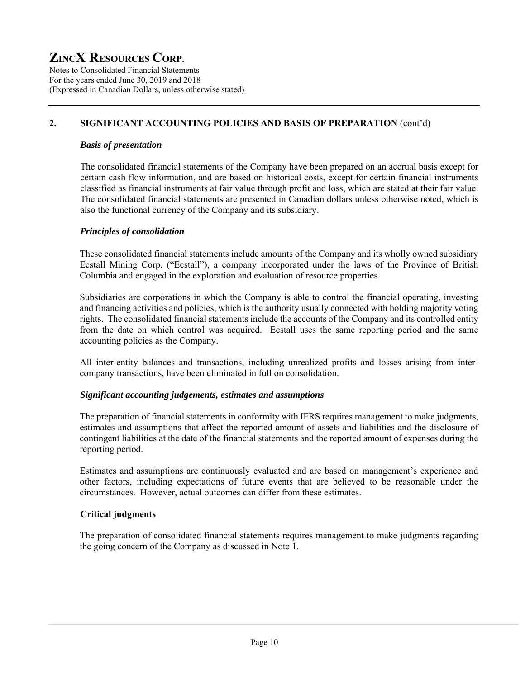Notes to Consolidated Financial Statements For the years ended June 30, 2019 and 2018 (Expressed in Canadian Dollars, unless otherwise stated)

# **2. SIGNIFICANT ACCOUNTING POLICIES AND BASIS OF PREPARATION** (cont'd)

### *Basis of presentation*

The consolidated financial statements of the Company have been prepared on an accrual basis except for certain cash flow information, and are based on historical costs, except for certain financial instruments classified as financial instruments at fair value through profit and loss, which are stated at their fair value. The consolidated financial statements are presented in Canadian dollars unless otherwise noted, which is also the functional currency of the Company and its subsidiary.

# *Principles of consolidation*

These consolidated financial statements include amounts of the Company and its wholly owned subsidiary Ecstall Mining Corp. ("Ecstall"), a company incorporated under the laws of the Province of British Columbia and engaged in the exploration and evaluation of resource properties.

Subsidiaries are corporations in which the Company is able to control the financial operating, investing and financing activities and policies, which is the authority usually connected with holding majority voting rights. The consolidated financial statements include the accounts of the Company and its controlled entity from the date on which control was acquired. Ecstall uses the same reporting period and the same accounting policies as the Company.

All inter-entity balances and transactions, including unrealized profits and losses arising from intercompany transactions, have been eliminated in full on consolidation.

#### *Significant accounting judgements, estimates and assumptions*

The preparation of financial statements in conformity with IFRS requires management to make judgments, estimates and assumptions that affect the reported amount of assets and liabilities and the disclosure of contingent liabilities at the date of the financial statements and the reported amount of expenses during the reporting period.

Estimates and assumptions are continuously evaluated and are based on management's experience and other factors, including expectations of future events that are believed to be reasonable under the circumstances. However, actual outcomes can differ from these estimates.

# **Critical judgments**

The preparation of consolidated financial statements requires management to make judgments regarding the going concern of the Company as discussed in Note 1.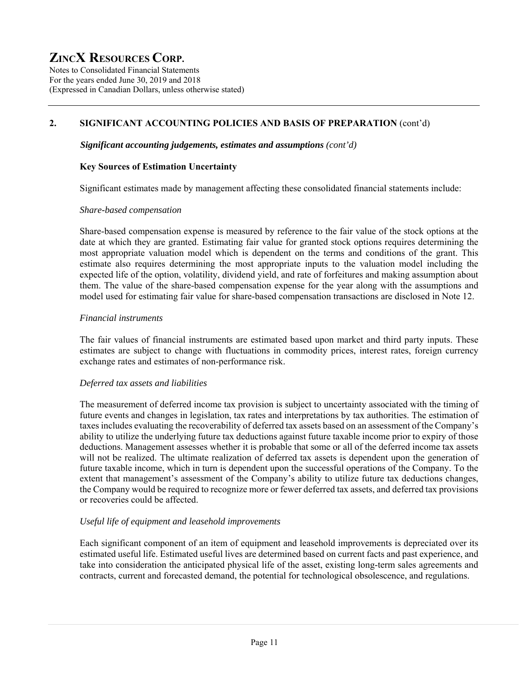Notes to Consolidated Financial Statements For the years ended June 30, 2019 and 2018 (Expressed in Canadian Dollars, unless otherwise stated)

# **2. SIGNIFICANT ACCOUNTING POLICIES AND BASIS OF PREPARATION** (cont'd)

### *Significant accounting judgements, estimates and assumptions (cont'd)*

### **Key Sources of Estimation Uncertainty**

Significant estimates made by management affecting these consolidated financial statements include:

#### *Share-based compensation*

Share-based compensation expense is measured by reference to the fair value of the stock options at the date at which they are granted. Estimating fair value for granted stock options requires determining the most appropriate valuation model which is dependent on the terms and conditions of the grant. This estimate also requires determining the most appropriate inputs to the valuation model including the expected life of the option, volatility, dividend yield, and rate of forfeitures and making assumption about them. The value of the share-based compensation expense for the year along with the assumptions and model used for estimating fair value for share-based compensation transactions are disclosed in Note 12.

### *Financial instruments*

The fair values of financial instruments are estimated based upon market and third party inputs. These estimates are subject to change with fluctuations in commodity prices, interest rates, foreign currency exchange rates and estimates of non-performance risk.

# *Deferred tax assets and liabilities*

The measurement of deferred income tax provision is subject to uncertainty associated with the timing of future events and changes in legislation, tax rates and interpretations by tax authorities. The estimation of taxes includes evaluating the recoverability of deferred tax assets based on an assessment of the Company's ability to utilize the underlying future tax deductions against future taxable income prior to expiry of those deductions. Management assesses whether it is probable that some or all of the deferred income tax assets will not be realized. The ultimate realization of deferred tax assets is dependent upon the generation of future taxable income, which in turn is dependent upon the successful operations of the Company. To the extent that management's assessment of the Company's ability to utilize future tax deductions changes, the Company would be required to recognize more or fewer deferred tax assets, and deferred tax provisions or recoveries could be affected.

# *Useful life of equipment and leasehold improvements*

Each significant component of an item of equipment and leasehold improvements is depreciated over its estimated useful life. Estimated useful lives are determined based on current facts and past experience, and take into consideration the anticipated physical life of the asset, existing long-term sales agreements and contracts, current and forecasted demand, the potential for technological obsolescence, and regulations.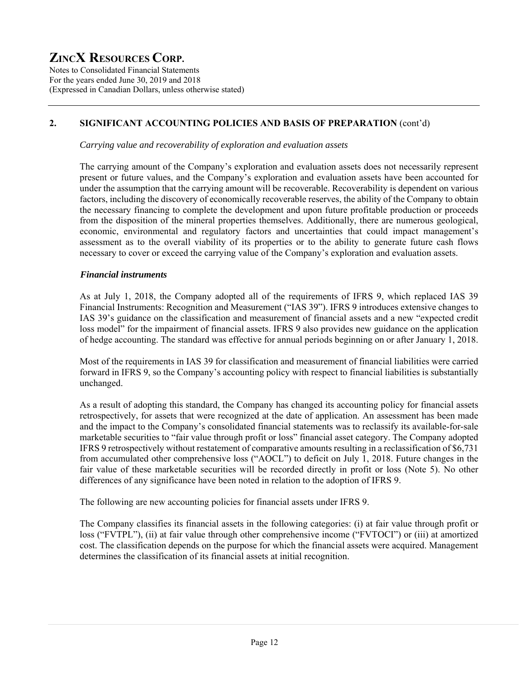Notes to Consolidated Financial Statements For the years ended June 30, 2019 and 2018 (Expressed in Canadian Dollars, unless otherwise stated)

# **2. SIGNIFICANT ACCOUNTING POLICIES AND BASIS OF PREPARATION** (cont'd)

*Carrying value and recoverability of exploration and evaluation assets* 

The carrying amount of the Company's exploration and evaluation assets does not necessarily represent present or future values, and the Company's exploration and evaluation assets have been accounted for under the assumption that the carrying amount will be recoverable. Recoverability is dependent on various factors, including the discovery of economically recoverable reserves, the ability of the Company to obtain the necessary financing to complete the development and upon future profitable production or proceeds from the disposition of the mineral properties themselves. Additionally, there are numerous geological, economic, environmental and regulatory factors and uncertainties that could impact management's assessment as to the overall viability of its properties or to the ability to generate future cash flows necessary to cover or exceed the carrying value of the Company's exploration and evaluation assets.

### *Financial instruments*

As at July 1, 2018, the Company adopted all of the requirements of IFRS 9, which replaced IAS 39 Financial Instruments: Recognition and Measurement ("IAS 39"). IFRS 9 introduces extensive changes to IAS 39's guidance on the classification and measurement of financial assets and a new "expected credit loss model" for the impairment of financial assets. IFRS 9 also provides new guidance on the application of hedge accounting. The standard was effective for annual periods beginning on or after January 1, 2018.

Most of the requirements in IAS 39 for classification and measurement of financial liabilities were carried forward in IFRS 9, so the Company's accounting policy with respect to financial liabilities is substantially unchanged.

As a result of adopting this standard, the Company has changed its accounting policy for financial assets retrospectively, for assets that were recognized at the date of application. An assessment has been made and the impact to the Company's consolidated financial statements was to reclassify its available-for-sale marketable securities to "fair value through profit or loss" financial asset category. The Company adopted IFRS 9 retrospectively without restatement of comparative amounts resulting in a reclassification of \$6,731 from accumulated other comprehensive loss ("AOCL") to deficit on July 1, 2018. Future changes in the fair value of these marketable securities will be recorded directly in profit or loss (Note 5). No other differences of any significance have been noted in relation to the adoption of IFRS 9.

The following are new accounting policies for financial assets under IFRS 9.

The Company classifies its financial assets in the following categories: (i) at fair value through profit or loss ("FVTPL"), (ii) at fair value through other comprehensive income ("FVTOCI") or (iii) at amortized cost. The classification depends on the purpose for which the financial assets were acquired. Management determines the classification of its financial assets at initial recognition.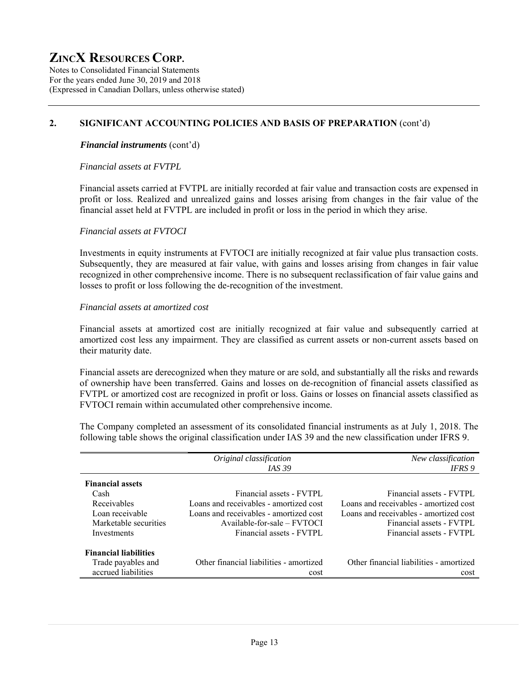Notes to Consolidated Financial Statements For the years ended June 30, 2019 and 2018 (Expressed in Canadian Dollars, unless otherwise stated)

### **2. SIGNIFICANT ACCOUNTING POLICIES AND BASIS OF PREPARATION** (cont'd)

#### *Financial instruments* (cont'd)

#### *Financial assets at FVTPL*

Financial assets carried at FVTPL are initially recorded at fair value and transaction costs are expensed in profit or loss. Realized and unrealized gains and losses arising from changes in the fair value of the financial asset held at FVTPL are included in profit or loss in the period in which they arise.

#### *Financial assets at FVTOCI*

Investments in equity instruments at FVTOCI are initially recognized at fair value plus transaction costs. Subsequently, they are measured at fair value, with gains and losses arising from changes in fair value recognized in other comprehensive income. There is no subsequent reclassification of fair value gains and losses to profit or loss following the de-recognition of the investment.

#### *Financial assets at amortized cost*

Financial assets at amortized cost are initially recognized at fair value and subsequently carried at amortized cost less any impairment. They are classified as current assets or non-current assets based on their maturity date.

Financial assets are derecognized when they mature or are sold, and substantially all the risks and rewards of ownership have been transferred. Gains and losses on de-recognition of financial assets classified as FVTPL or amortized cost are recognized in profit or loss. Gains or losses on financial assets classified as FVTOCI remain within accumulated other comprehensive income.

The Company completed an assessment of its consolidated financial instruments as at July 1, 2018. The following table shows the original classification under IAS 39 and the new classification under IFRS 9.

|                              | Original classification                 | New classification                      |
|------------------------------|-----------------------------------------|-----------------------------------------|
|                              | <i>IAS</i> 39                           | IFRS 9                                  |
| <b>Financial assets</b>      |                                         |                                         |
| Cash                         | Financial assets - FVTPL                | Financial assets - FVTPL                |
| Receivables                  | Loans and receivables - amortized cost  | Loans and receivables - amortized cost  |
| Loan receivable              | Loans and receivables - amortized cost  | Loans and receivables - amortized cost  |
| Marketable securities        | $A$ vailable-for-sale – $FVTOCI$        | Financial assets - FVTPL                |
| Investments                  | Financial assets - FVTPL                | Financial assets - FVTPL                |
| <b>Financial liabilities</b> |                                         |                                         |
|                              |                                         |                                         |
| Trade payables and           | Other financial liabilities - amortized | Other financial liabilities - amortized |
| accrued liabilities          | cost                                    | cost                                    |
|                              |                                         |                                         |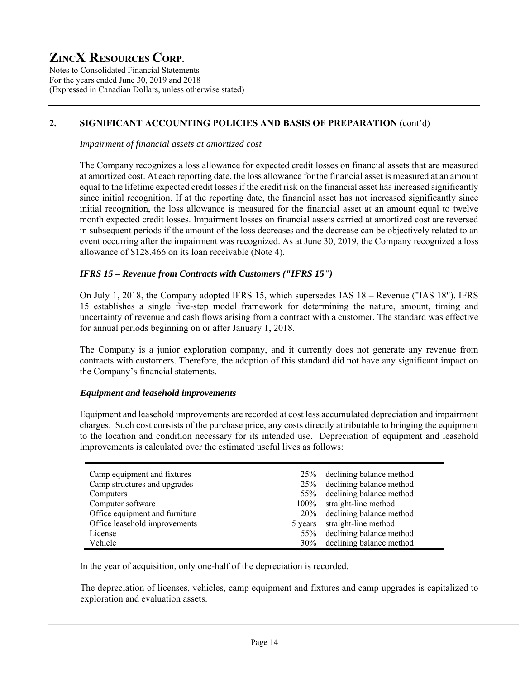Notes to Consolidated Financial Statements For the years ended June 30, 2019 and 2018 (Expressed in Canadian Dollars, unless otherwise stated)

# **2. SIGNIFICANT ACCOUNTING POLICIES AND BASIS OF PREPARATION** (cont'd)

*Impairment of financial assets at amortized cost* 

The Company recognizes a loss allowance for expected credit losses on financial assets that are measured at amortized cost. At each reporting date, the loss allowance for the financial asset is measured at an amount equal to the lifetime expected credit losses if the credit risk on the financial asset has increased significantly since initial recognition. If at the reporting date, the financial asset has not increased significantly since initial recognition, the loss allowance is measured for the financial asset at an amount equal to twelve month expected credit losses. Impairment losses on financial assets carried at amortized cost are reversed in subsequent periods if the amount of the loss decreases and the decrease can be objectively related to an event occurring after the impairment was recognized. As at June 30, 2019, the Company recognized a loss allowance of \$128,466 on its loan receivable (Note 4).

# *IFRS 15 – Revenue from Contracts with Customers ("IFRS 15")*

On July 1, 2018, the Company adopted IFRS 15, which supersedes IAS 18 – Revenue ("IAS 18"). IFRS 15 establishes a single five-step model framework for determining the nature, amount, timing and uncertainty of revenue and cash flows arising from a contract with a customer. The standard was effective for annual periods beginning on or after January 1, 2018.

The Company is a junior exploration company, and it currently does not generate any revenue from contracts with customers. Therefore, the adoption of this standard did not have any significant impact on the Company's financial statements.

# *Equipment and leasehold improvements*

Equipment and leasehold improvements are recorded at cost less accumulated depreciation and impairment charges. Such cost consists of the purchase price, any costs directly attributable to bringing the equipment to the location and condition necessary for its intended use. Depreciation of equipment and leasehold improvements is calculated over the estimated useful lives as follows:

| Camp equipment and fixtures    | declining balance method<br>25%        |
|--------------------------------|----------------------------------------|
| Camp structures and upgrades   | declining balance method<br>25%        |
| Computers                      | 55% declining balance method           |
| Computer software              | straight-line method<br>$100\%$        |
| Office equipment and furniture | declining balance method<br><b>20%</b> |
| Office leasehold improvements  | straight-line method<br>5 years        |
| License                        | 55% declining balance method           |
| Vehicle                        | declining balance method<br>30%        |

In the year of acquisition, only one-half of the depreciation is recorded.

The depreciation of licenses, vehicles, camp equipment and fixtures and camp upgrades is capitalized to exploration and evaluation assets.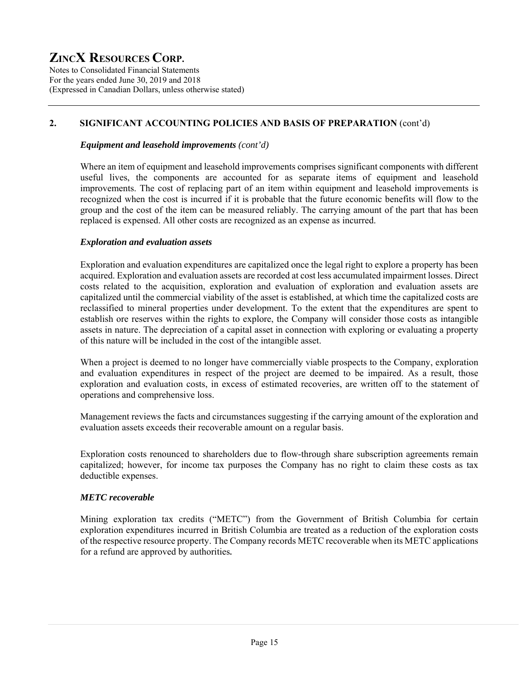Notes to Consolidated Financial Statements For the years ended June 30, 2019 and 2018 (Expressed in Canadian Dollars, unless otherwise stated)

# **2. SIGNIFICANT ACCOUNTING POLICIES AND BASIS OF PREPARATION** (cont'd)

### *Equipment and leasehold improvements (cont'd)*

Where an item of equipment and leasehold improvements comprises significant components with different useful lives, the components are accounted for as separate items of equipment and leasehold improvements. The cost of replacing part of an item within equipment and leasehold improvements is recognized when the cost is incurred if it is probable that the future economic benefits will flow to the group and the cost of the item can be measured reliably. The carrying amount of the part that has been replaced is expensed. All other costs are recognized as an expense as incurred.

### *Exploration and evaluation assets*

Exploration and evaluation expenditures are capitalized once the legal right to explore a property has been acquired. Exploration and evaluation assets are recorded at cost less accumulated impairment losses. Direct costs related to the acquisition, exploration and evaluation of exploration and evaluation assets are capitalized until the commercial viability of the asset is established, at which time the capitalized costs are reclassified to mineral properties under development. To the extent that the expenditures are spent to establish ore reserves within the rights to explore, the Company will consider those costs as intangible assets in nature. The depreciation of a capital asset in connection with exploring or evaluating a property of this nature will be included in the cost of the intangible asset.

When a project is deemed to no longer have commercially viable prospects to the Company, exploration and evaluation expenditures in respect of the project are deemed to be impaired. As a result, those exploration and evaluation costs, in excess of estimated recoveries, are written off to the statement of operations and comprehensive loss.

Management reviews the facts and circumstances suggesting if the carrying amount of the exploration and evaluation assets exceeds their recoverable amount on a regular basis.

Exploration costs renounced to shareholders due to flow-through share subscription agreements remain capitalized; however, for income tax purposes the Company has no right to claim these costs as tax deductible expenses.

#### *METC recoverable*

Mining exploration tax credits ("METC") from the Government of British Columbia for certain exploration expenditures incurred in British Columbia are treated as a reduction of the exploration costs of the respective resource property. The Company records METC recoverable when its METC applications for a refund are approved by authorities**.**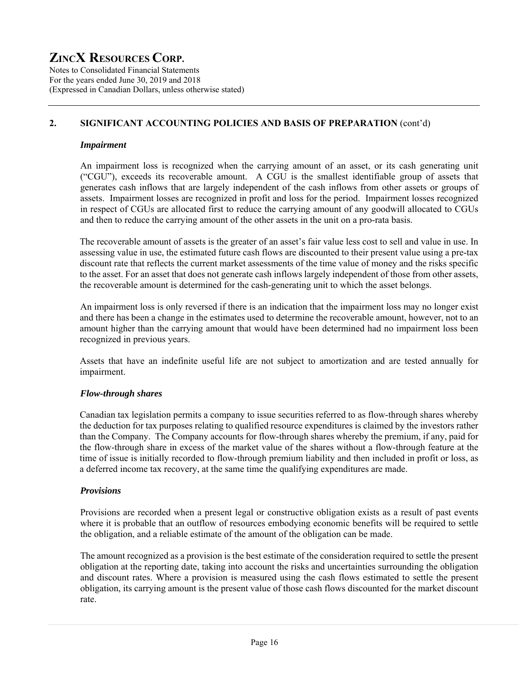Notes to Consolidated Financial Statements For the years ended June 30, 2019 and 2018 (Expressed in Canadian Dollars, unless otherwise stated)

# **2. SIGNIFICANT ACCOUNTING POLICIES AND BASIS OF PREPARATION** (cont'd)

### *Impairment*

An impairment loss is recognized when the carrying amount of an asset, or its cash generating unit ("CGU"), exceeds its recoverable amount. A CGU is the smallest identifiable group of assets that generates cash inflows that are largely independent of the cash inflows from other assets or groups of assets. Impairment losses are recognized in profit and loss for the period. Impairment losses recognized in respect of CGUs are allocated first to reduce the carrying amount of any goodwill allocated to CGUs and then to reduce the carrying amount of the other assets in the unit on a pro-rata basis.

The recoverable amount of assets is the greater of an asset's fair value less cost to sell and value in use. In assessing value in use, the estimated future cash flows are discounted to their present value using a pre-tax discount rate that reflects the current market assessments of the time value of money and the risks specific to the asset. For an asset that does not generate cash inflows largely independent of those from other assets, the recoverable amount is determined for the cash-generating unit to which the asset belongs.

 An impairment loss is only reversed if there is an indication that the impairment loss may no longer exist and there has been a change in the estimates used to determine the recoverable amount, however, not to an amount higher than the carrying amount that would have been determined had no impairment loss been recognized in previous years.

Assets that have an indefinite useful life are not subject to amortization and are tested annually for impairment.

# *Flow-through shares*

Canadian tax legislation permits a company to issue securities referred to as flow-through shares whereby the deduction for tax purposes relating to qualified resource expenditures is claimed by the investors rather than the Company. The Company accounts for flow-through shares whereby the premium, if any, paid for the flow-through share in excess of the market value of the shares without a flow-through feature at the time of issue is initially recorded to flow-through premium liability and then included in profit or loss, as a deferred income tax recovery, at the same time the qualifying expenditures are made.

# *Provisions*

Provisions are recorded when a present legal or constructive obligation exists as a result of past events where it is probable that an outflow of resources embodying economic benefits will be required to settle the obligation, and a reliable estimate of the amount of the obligation can be made.

The amount recognized as a provision is the best estimate of the consideration required to settle the present obligation at the reporting date, taking into account the risks and uncertainties surrounding the obligation and discount rates. Where a provision is measured using the cash flows estimated to settle the present obligation, its carrying amount is the present value of those cash flows discounted for the market discount rate.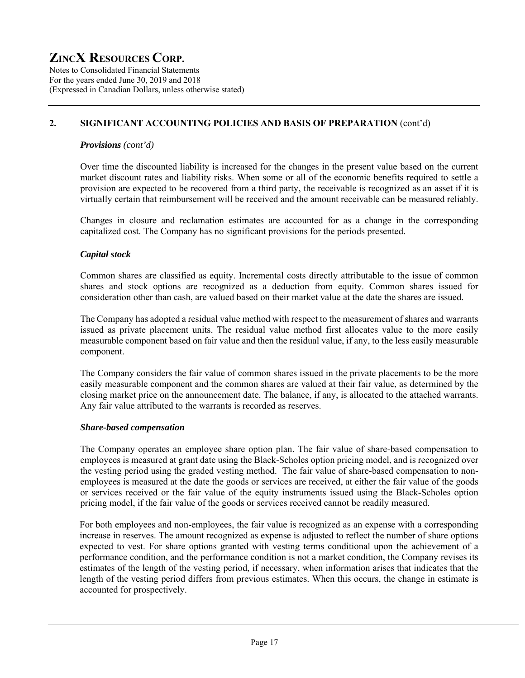Notes to Consolidated Financial Statements For the years ended June 30, 2019 and 2018 (Expressed in Canadian Dollars, unless otherwise stated)

# **2. SIGNIFICANT ACCOUNTING POLICIES AND BASIS OF PREPARATION** (cont'd)

### *Provisions (cont'd)*

Over time the discounted liability is increased for the changes in the present value based on the current market discount rates and liability risks. When some or all of the economic benefits required to settle a provision are expected to be recovered from a third party, the receivable is recognized as an asset if it is virtually certain that reimbursement will be received and the amount receivable can be measured reliably.

Changes in closure and reclamation estimates are accounted for as a change in the corresponding capitalized cost. The Company has no significant provisions for the periods presented.

# *Capital stock*

Common shares are classified as equity. Incremental costs directly attributable to the issue of common shares and stock options are recognized as a deduction from equity. Common shares issued for consideration other than cash, are valued based on their market value at the date the shares are issued.

The Company has adopted a residual value method with respect to the measurement of shares and warrants issued as private placement units. The residual value method first allocates value to the more easily measurable component based on fair value and then the residual value, if any, to the less easily measurable component.

The Company considers the fair value of common shares issued in the private placements to be the more easily measurable component and the common shares are valued at their fair value, as determined by the closing market price on the announcement date. The balance, if any, is allocated to the attached warrants. Any fair value attributed to the warrants is recorded as reserves.

#### *Share-based compensation*

The Company operates an employee share option plan. The fair value of share-based compensation to employees is measured at grant date using the Black-Scholes option pricing model, and is recognized over the vesting period using the graded vesting method. The fair value of share-based compensation to nonemployees is measured at the date the goods or services are received, at either the fair value of the goods or services received or the fair value of the equity instruments issued using the Black-Scholes option pricing model, if the fair value of the goods or services received cannot be readily measured.

For both employees and non-employees, the fair value is recognized as an expense with a corresponding increase in reserves. The amount recognized as expense is adjusted to reflect the number of share options expected to vest. For share options granted with vesting terms conditional upon the achievement of a performance condition, and the performance condition is not a market condition, the Company revises its estimates of the length of the vesting period, if necessary, when information arises that indicates that the length of the vesting period differs from previous estimates. When this occurs, the change in estimate is accounted for prospectively.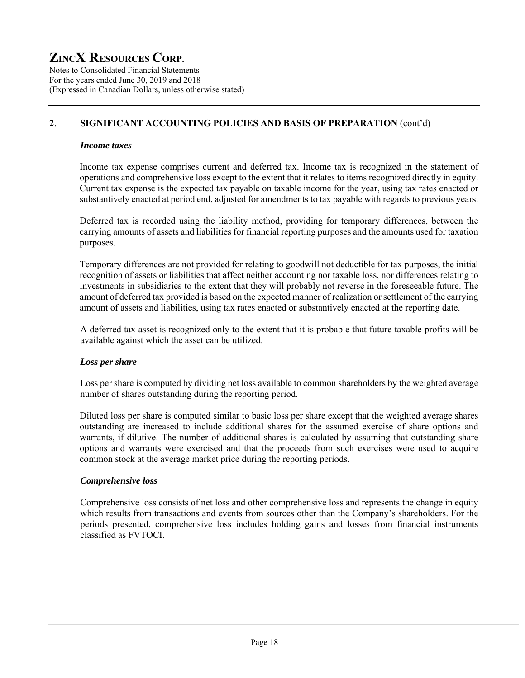Notes to Consolidated Financial Statements For the years ended June 30, 2019 and 2018 (Expressed in Canadian Dollars, unless otherwise stated)

# **2**. **SIGNIFICANT ACCOUNTING POLICIES AND BASIS OF PREPARATION** (cont'd)

### *Income taxes*

Income tax expense comprises current and deferred tax. Income tax is recognized in the statement of operations and comprehensive loss except to the extent that it relates to items recognized directly in equity. Current tax expense is the expected tax payable on taxable income for the year, using tax rates enacted or substantively enacted at period end, adjusted for amendments to tax payable with regards to previous years.

Deferred tax is recorded using the liability method, providing for temporary differences, between the carrying amounts of assets and liabilities for financial reporting purposes and the amounts used for taxation purposes.

Temporary differences are not provided for relating to goodwill not deductible for tax purposes, the initial recognition of assets or liabilities that affect neither accounting nor taxable loss, nor differences relating to investments in subsidiaries to the extent that they will probably not reverse in the foreseeable future. The amount of deferred tax provided is based on the expected manner of realization or settlement of the carrying amount of assets and liabilities, using tax rates enacted or substantively enacted at the reporting date.

A deferred tax asset is recognized only to the extent that it is probable that future taxable profits will be available against which the asset can be utilized.

# *Loss per share*

Loss per share is computed by dividing net loss available to common shareholders by the weighted average number of shares outstanding during the reporting period.

Diluted loss per share is computed similar to basic loss per share except that the weighted average shares outstanding are increased to include additional shares for the assumed exercise of share options and warrants, if dilutive. The number of additional shares is calculated by assuming that outstanding share options and warrants were exercised and that the proceeds from such exercises were used to acquire common stock at the average market price during the reporting periods.

# *Comprehensive loss*

Comprehensive loss consists of net loss and other comprehensive loss and represents the change in equity which results from transactions and events from sources other than the Company's shareholders. For the periods presented, comprehensive loss includes holding gains and losses from financial instruments classified as FVTOCI.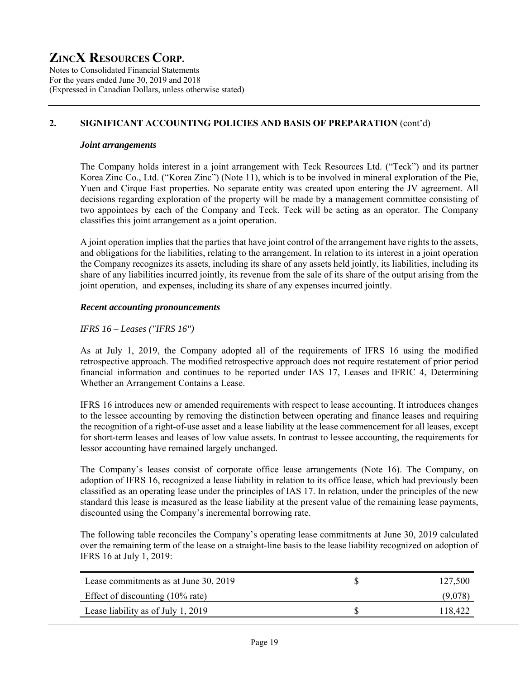Notes to Consolidated Financial Statements For the years ended June 30, 2019 and 2018 (Expressed in Canadian Dollars, unless otherwise stated)

# **2. SIGNIFICANT ACCOUNTING POLICIES AND BASIS OF PREPARATION** (cont'd)

#### *Joint arrangements*

The Company holds interest in a joint arrangement with Teck Resources Ltd. ("Teck") and its partner Korea Zinc Co., Ltd. ("Korea Zinc") (Note 11), which is to be involved in mineral exploration of the Pie, Yuen and Cirque East properties. No separate entity was created upon entering the JV agreement. All decisions regarding exploration of the property will be made by a management committee consisting of two appointees by each of the Company and Teck. Teck will be acting as an operator. The Company classifies this joint arrangement as a joint operation.

A joint operation implies that the parties that have joint control of the arrangement have rights to the assets, and obligations for the liabilities, relating to the arrangement. In relation to its interest in a joint operation the Company recognizes its assets, including its share of any assets held jointly, its liabilities, including its share of any liabilities incurred jointly, its revenue from the sale of its share of the output arising from the joint operation, and expenses, including its share of any expenses incurred jointly.

#### *Recent accounting pronouncements*

#### *IFRS 16 – Leases ("IFRS 16")*

As at July 1, 2019, the Company adopted all of the requirements of IFRS 16 using the modified retrospective approach. The modified retrospective approach does not require restatement of prior period financial information and continues to be reported under IAS 17, Leases and IFRIC 4, Determining Whether an Arrangement Contains a Lease.

IFRS 16 introduces new or amended requirements with respect to lease accounting. It introduces changes to the lessee accounting by removing the distinction between operating and finance leases and requiring the recognition of a right-of-use asset and a lease liability at the lease commencement for all leases, except for short-term leases and leases of low value assets. In contrast to lessee accounting, the requirements for lessor accounting have remained largely unchanged.

The Company's leases consist of corporate office lease arrangements (Note 16). The Company, on adoption of IFRS 16, recognized a lease liability in relation to its office lease, which had previously been classified as an operating lease under the principles of IAS 17. In relation, under the principles of the new standard this lease is measured as the lease liability at the present value of the remaining lease payments, discounted using the Company's incremental borrowing rate.

The following table reconciles the Company's operating lease commitments at June 30, 2019 calculated over the remaining term of the lease on a straight-line basis to the lease liability recognized on adoption of IFRS 16 at July 1, 2019:

| Lease commitments as at June 30, 2019       | 127,500 |
|---------------------------------------------|---------|
| Effect of discounting $(10\% \text{ rate})$ | (9.078  |
| Lease liability as of July 1, 2019          | 118,422 |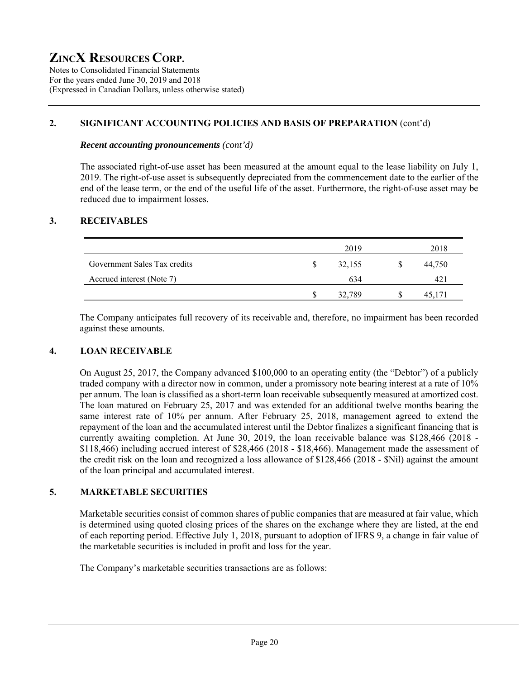Notes to Consolidated Financial Statements For the years ended June 30, 2019 and 2018 (Expressed in Canadian Dollars, unless otherwise stated)

### **2. SIGNIFICANT ACCOUNTING POLICIES AND BASIS OF PREPARATION** (cont'd)

#### *Recent accounting pronouncements (cont'd)*

The associated right-of-use asset has been measured at the amount equal to the lease liability on July 1, 2019. The right-of-use asset is subsequently depreciated from the commencement date to the earlier of the end of the lease term, or the end of the useful life of the asset. Furthermore, the right-of-use asset may be reduced due to impairment losses.

# **3. RECEIVABLES**

|                              |   | 2019   | 2018   |
|------------------------------|---|--------|--------|
| Government Sales Tax credits |   | 32,155 | 44,750 |
| Accrued interest (Note 7)    |   | 634    | 421    |
|                              | S | 32,789 | 45,171 |

The Company anticipates full recovery of its receivable and, therefore, no impairment has been recorded against these amounts.

# **4. LOAN RECEIVABLE**

On August 25, 2017, the Company advanced \$100,000 to an operating entity (the "Debtor") of a publicly traded company with a director now in common, under a promissory note bearing interest at a rate of 10% per annum. The loan is classified as a short-term loan receivable subsequently measured at amortized cost. The loan matured on February 25, 2017 and was extended for an additional twelve months bearing the same interest rate of 10% per annum. After February 25, 2018, management agreed to extend the repayment of the loan and the accumulated interest until the Debtor finalizes a significant financing that is currently awaiting completion. At June 30, 2019, the loan receivable balance was \$128,466 (2018 - \$118,466) including accrued interest of \$28,466 (2018 - \$18,466). Management made the assessment of the credit risk on the loan and recognized a loss allowance of \$128,466 (2018 - \$Nil) against the amount of the loan principal and accumulated interest.

# **5. MARKETABLE SECURITIES**

Marketable securities consist of common shares of public companies that are measured at fair value, which is determined using quoted closing prices of the shares on the exchange where they are listed, at the end of each reporting period. Effective July 1, 2018, pursuant to adoption of IFRS 9, a change in fair value of the marketable securities is included in profit and loss for the year.

The Company's marketable securities transactions are as follows: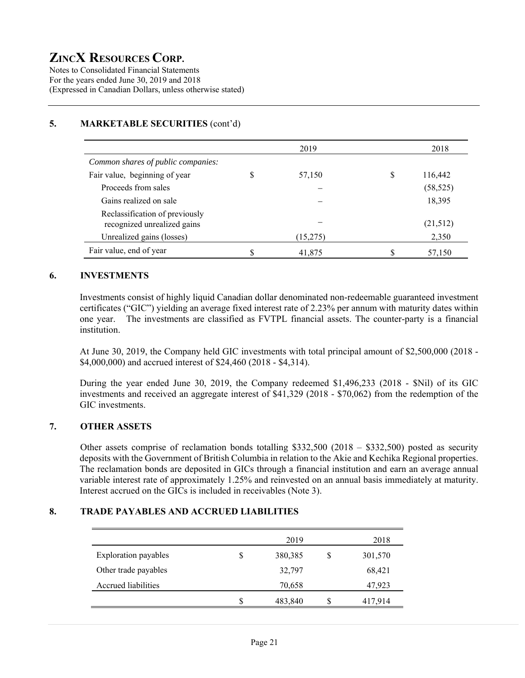Notes to Consolidated Financial Statements For the years ended June 30, 2019 and 2018 (Expressed in Canadian Dollars, unless otherwise stated)

# **5. MARKETABLE SECURITIES** (cont'd)

|                                                               | 2019         | 2018          |
|---------------------------------------------------------------|--------------|---------------|
| Common shares of public companies:                            |              |               |
| Fair value, beginning of year                                 | \$<br>57,150 | \$<br>116,442 |
| Proceeds from sales                                           |              | (58, 525)     |
| Gains realized on sale                                        |              | 18,395        |
| Reclassification of previously<br>recognized unrealized gains |              | (21,512)      |
| Unrealized gains (losses)                                     | (15,275)     | 2,350         |
| Fair value, end of year                                       | \$<br>41,875 | 57,150        |

### **6. INVESTMENTS**

Investments consist of highly liquid Canadian dollar denominated non-redeemable guaranteed investment certificates ("GIC") yielding an average fixed interest rate of 2.23% per annum with maturity dates within one year. The investments are classified as FVTPL financial assets. The counter-party is a financial institution.

At June 30, 2019, the Company held GIC investments with total principal amount of \$2,500,000 (2018 - \$4,000,000) and accrued interest of \$24,460 (2018 - \$4,314).

During the year ended June 30, 2019, the Company redeemed \$1,496,233 (2018 - \$Nil) of its GIC investments and received an aggregate interest of \$41,329 (2018 - \$70,062) from the redemption of the GIC investments.

### **7. OTHER ASSETS**

Other assets comprise of reclamation bonds totalling \$332,500 (2018 – \$332,500) posted as security deposits with the Government of British Columbia in relation to the Akie and Kechika Regional properties. The reclamation bonds are deposited in GICs through a financial institution and earn an average annual variable interest rate of approximately 1.25% and reinvested on an annual basis immediately at maturity. Interest accrued on the GICs is included in receivables (Note 3).

### **8. TRADE PAYABLES AND ACCRUED LIABILITIES**

|                             |   | 2019    |     | 2018    |
|-----------------------------|---|---------|-----|---------|
| <b>Exploration payables</b> | S | 380,385 |     | 301,570 |
| Other trade payables        |   | 32,797  |     | 68,421  |
| Accrued liabilities         |   | 70,658  |     | 47,923  |
|                             | S | 483,840 | JЪ. | 417,914 |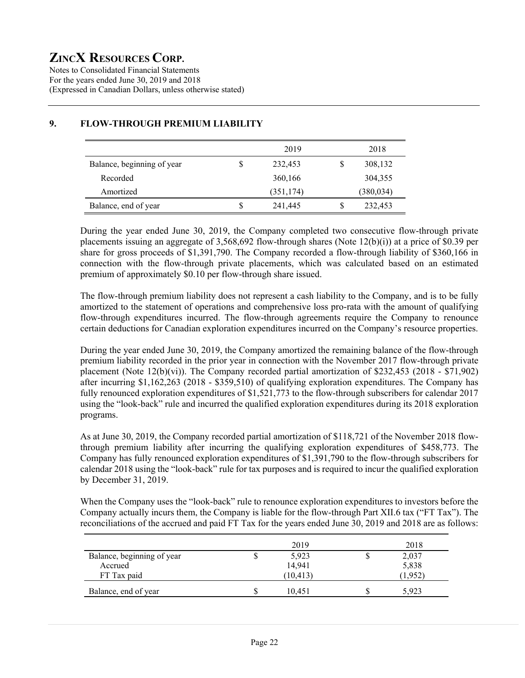Notes to Consolidated Financial Statements For the years ended June 30, 2019 and 2018 (Expressed in Canadian Dollars, unless otherwise stated)

|                            | 2019          | 2018       |
|----------------------------|---------------|------------|
| Balance, beginning of year | \$<br>232,453 | 308,132    |
| Recorded                   | 360,166       | 304,355    |
| Amortized                  | (351, 174)    | (380, 034) |
| Balance, end of year       | 241,445       | 232,453    |

# **9. FLOW-THROUGH PREMIUM LIABILITY**

During the year ended June 30, 2019, the Company completed two consecutive flow-through private placements issuing an aggregate of 3,568,692 flow-through shares (Note 12(b)(i)) at a price of \$0.39 per share for gross proceeds of \$1,391,790. The Company recorded a flow-through liability of \$360,166 in connection with the flow-through private placements, which was calculated based on an estimated premium of approximately \$0.10 per flow-through share issued.

The flow-through premium liability does not represent a cash liability to the Company, and is to be fully amortized to the statement of operations and comprehensive loss pro-rata with the amount of qualifying flow-through expenditures incurred. The flow-through agreements require the Company to renounce certain deductions for Canadian exploration expenditures incurred on the Company's resource properties.

During the year ended June 30, 2019, the Company amortized the remaining balance of the flow-through premium liability recorded in the prior year in connection with the November 2017 flow-through private placement (Note  $12(b)(vi)$ ). The Company recorded partial amortization of \$232,453 (2018 - \$71,902) after incurring \$1,162,263 (2018 - \$359,510) of qualifying exploration expenditures. The Company has fully renounced exploration expenditures of \$1,521,773 to the flow-through subscribers for calendar 2017 using the "look-back" rule and incurred the qualified exploration expenditures during its 2018 exploration programs.

As at June 30, 2019, the Company recorded partial amortization of \$118,721 of the November 2018 flowthrough premium liability after incurring the qualifying exploration expenditures of \$458,773. The Company has fully renounced exploration expenditures of \$1,391,790 to the flow-through subscribers for calendar 2018 using the "look-back" rule for tax purposes and is required to incur the qualified exploration by December 31, 2019.

When the Company uses the "look-back" rule to renounce exploration expenditures to investors before the Company actually incurs them, the Company is liable for the flow-through Part XII.6 tax ("FT Tax"). The reconciliations of the accrued and paid FT Tax for the years ended June 30, 2019 and 2018 are as follows:

|                            | 2019      | 2018    |
|----------------------------|-----------|---------|
| Balance, beginning of year | 5,923     | 2,037   |
| Accrued                    | 14,941    | 5,838   |
| FT Tax paid                | (10, 413) | (1,952) |
| Balance, end of year       | 10.451    | 5.923   |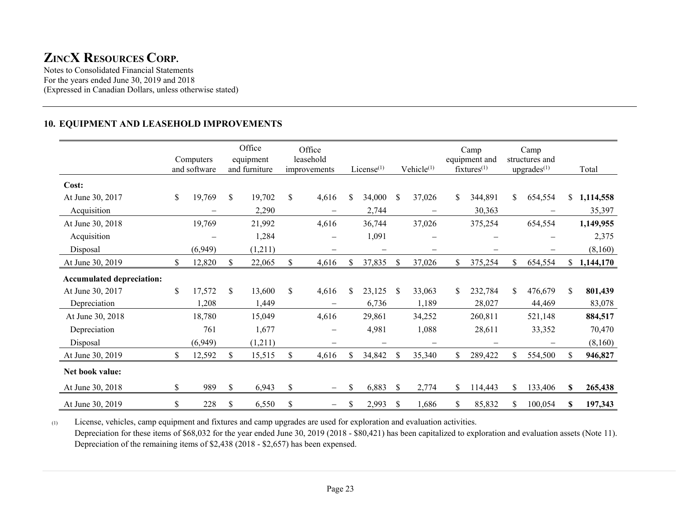Notes to Consolidated Financial Statements For the years ended June 30, 2019 and 2018 (Expressed in Canadian Dollars, unless otherwise stated)

### **10. EQUIPMENT AND LEASEHOLD IMPROVEMENTS**

|                                  | Computers<br>and software | Office<br>equipment<br>and furniture |    | Office<br>leasehold<br>improvements | $License$ <sup>(1)</sup> |               | Vehicle <sup>(1)</sup> | Camp<br>equipment and<br>$f$ ixtures $(1)$ |    | Camp<br>structures and<br>upgrades <sup>(1)</sup> |    | Total     |
|----------------------------------|---------------------------|--------------------------------------|----|-------------------------------------|--------------------------|---------------|------------------------|--------------------------------------------|----|---------------------------------------------------|----|-----------|
| Cost:                            |                           |                                      |    |                                     |                          |               |                        |                                            |    |                                                   |    |           |
| At June 30, 2017                 | \$<br>19,769              | \$<br>19,702                         | \$ | 4,616                               | \$<br>34,000             | \$            | 37,026                 | \$<br>344,891                              | \$ | 654,554                                           | \$ | 1,114,558 |
| Acquisition                      |                           | 2,290                                |    |                                     | 2,744                    |               | -                      | 30,363                                     |    |                                                   |    | 35,397    |
| At June 30, 2018                 | 19,769                    | 21,992                               |    | 4,616                               | 36,744                   |               | 37,026                 | 375,254                                    |    | 654,554                                           |    | 1,149,955 |
| Acquisition                      |                           | 1,284                                |    |                                     | 1,091                    |               |                        |                                            |    |                                                   |    | 2,375     |
| Disposal                         | (6,949)                   | (1,211)                              |    | -                                   | $\overline{\phantom{0}}$ |               | -                      |                                            |    |                                                   |    | (8,160)   |
| At June 30, 2019                 | \$<br>12,820              | \$<br>22,065                         | \$ | 4,616                               | \$<br>37,835             | $\mathcal{S}$ | 37,026                 | \$<br>375,254                              | \$ | 654,554                                           | \$ | 1,144,170 |
| <b>Accumulated depreciation:</b> |                           |                                      |    |                                     |                          |               |                        |                                            |    |                                                   |    |           |
| At June 30, 2017                 | \$<br>17,572              | \$<br>13,600                         | S. | 4,616                               | \$<br>23,125             | <sup>\$</sup> | 33,063                 | \$<br>232,784                              | S. | 476,679                                           | \$ | 801,439   |
| Depreciation                     | 1,208                     | 1,449                                |    | $\overline{\phantom{0}}$            | 6,736                    |               | 1,189                  | 28,027                                     |    | 44,469                                            |    | 83,078    |
| At June 30, 2018                 | 18,780                    | 15,049                               |    | 4,616                               | 29,861                   |               | 34,252                 | 260,811                                    |    | 521,148                                           |    | 884,517   |
| Depreciation                     | 761                       | 1,677                                |    |                                     | 4,981                    |               | 1,088                  | 28,611                                     |    | 33,352                                            |    | 70,470    |
| Disposal                         | (6,949)                   | (1,211)                              |    |                                     | $\overline{\phantom{0}}$ |               | -                      |                                            |    |                                                   |    | (8,160)   |
| At June 30, 2019                 | \$<br>12,592              | \$<br>15,515                         | \$ | 4,616                               | \$<br>34,842             | S             | 35,340                 | \$<br>289,422                              |    | 554,500                                           | S  | 946,827   |
| Net book value:                  |                           |                                      |    |                                     |                          |               |                        |                                            |    |                                                   |    |           |
| At June 30, 2018                 | \$<br>989                 | \$<br>6,943                          | \$ | —                                   | \$<br>6,883              | <sup>\$</sup> | 2,774                  | \$<br>114,443                              | S. | 133,406                                           | S  | 265,438   |
| At June 30, 2019                 | \$<br>228                 | \$<br>6,550                          | \$ | —                                   | \$<br>2,993              | S             | 1,686                  | \$<br>85,832                               | S. | 100,054                                           | S  | 197,343   |

(1) License, vehicles, camp equipment and fixtures and camp upgrades are used for exploration and evaluation activities. Depreciation for these items of \$68,032 for the year ended June 30, 2019 (2018 - \$80,421) has been capitalized to exploration and evaluation assets (Note 11). Depreciation of the remaining items of \$2,438 (2018 - \$2,657) has been expensed.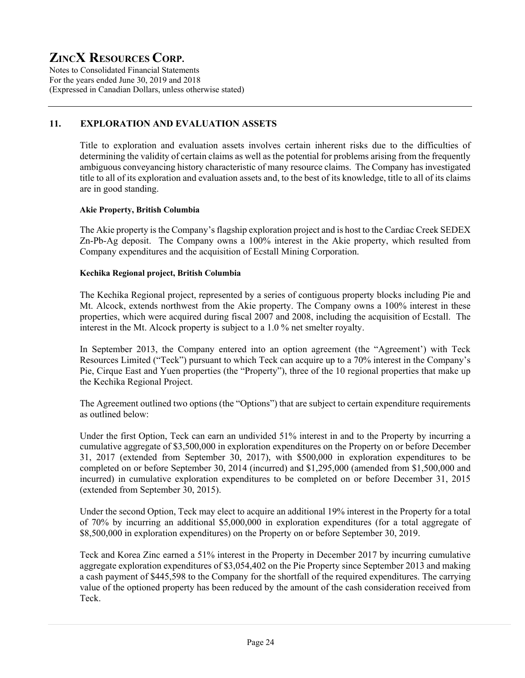Notes to Consolidated Financial Statements For the years ended June 30, 2019 and 2018 (Expressed in Canadian Dollars, unless otherwise stated)

# **11. EXPLORATION AND EVALUATION ASSETS**

Title to exploration and evaluation assets involves certain inherent risks due to the difficulties of determining the validity of certain claims as well as the potential for problems arising from the frequently ambiguous conveyancing history characteristic of many resource claims. The Company has investigated title to all of its exploration and evaluation assets and, to the best of its knowledge, title to all of its claims are in good standing.

# **Akie Property, British Columbia**

The Akie property is the Company's flagship exploration project and is host to the Cardiac Creek SEDEX Zn-Pb-Ag deposit. The Company owns a 100% interest in the Akie property, which resulted from Company expenditures and the acquisition of Ecstall Mining Corporation.

### **Kechika Regional project, British Columbia**

The Kechika Regional project, represented by a series of contiguous property blocks including Pie and Mt. Alcock, extends northwest from the Akie property. The Company owns a 100% interest in these properties, which were acquired during fiscal 2007 and 2008, including the acquisition of Ecstall. The interest in the Mt. Alcock property is subject to a 1.0 % net smelter royalty.

In September 2013, the Company entered into an option agreement (the "Agreement') with Teck Resources Limited ("Teck") pursuant to which Teck can acquire up to a 70% interest in the Company's Pie, Cirque East and Yuen properties (the "Property"), three of the 10 regional properties that make up the Kechika Regional Project.

The Agreement outlined two options (the "Options") that are subject to certain expenditure requirements as outlined below:

Under the first Option, Teck can earn an undivided 51% interest in and to the Property by incurring a cumulative aggregate of \$3,500,000 in exploration expenditures on the Property on or before December 31, 2017 (extended from September 30, 2017), with \$500,000 in exploration expenditures to be completed on or before September 30, 2014 (incurred) and \$1,295,000 (amended from \$1,500,000 and incurred) in cumulative exploration expenditures to be completed on or before December 31, 2015 (extended from September 30, 2015).

Under the second Option, Teck may elect to acquire an additional 19% interest in the Property for a total of 70% by incurring an additional \$5,000,000 in exploration expenditures (for a total aggregate of \$8,500,000 in exploration expenditures) on the Property on or before September 30, 2019.

Teck and Korea Zinc earned a 51% interest in the Property in December 2017 by incurring cumulative aggregate exploration expenditures of \$3,054,402 on the Pie Property since September 2013 and making a cash payment of \$445,598 to the Company for the shortfall of the required expenditures. The carrying value of the optioned property has been reduced by the amount of the cash consideration received from Teck.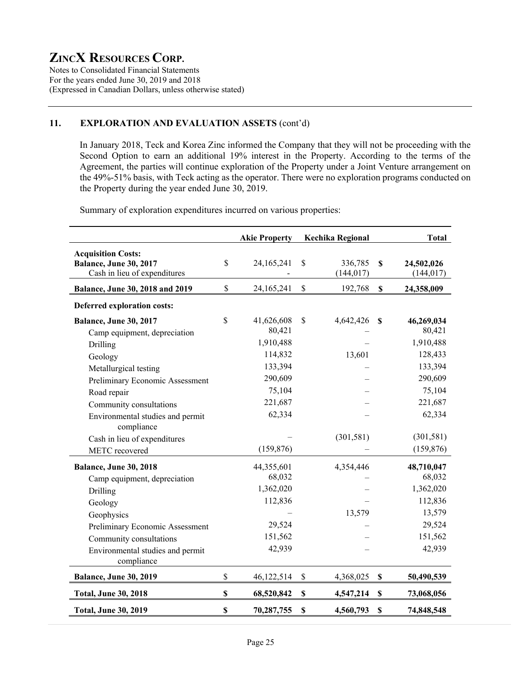Notes to Consolidated Financial Statements For the years ended June 30, 2019 and 2018 (Expressed in Canadian Dollars, unless otherwise stated)

### **11. EXPLORATION AND EVALUATION ASSETS** (cont'd)

In January 2018, Teck and Korea Zinc informed the Company that they will not be proceeding with the Second Option to earn an additional 19% interest in the Property. According to the terms of the Agreement, the parties will continue exploration of the Property under a Joint Venture arrangement on the 49%-51% basis, with Teck acting as the operator. There were no exploration programs conducted on the Property during the year ended June 30, 2019.

Summary of exploration expenditures incurred on various properties:

|                                                                                                                                                                                                                                                                       |              | <b>Akie Property</b>                                                                              |                           | Kechika Regional                  |                           | <b>Total</b>                                                                                                    |
|-----------------------------------------------------------------------------------------------------------------------------------------------------------------------------------------------------------------------------------------------------------------------|--------------|---------------------------------------------------------------------------------------------------|---------------------------|-----------------------------------|---------------------------|-----------------------------------------------------------------------------------------------------------------|
| <b>Acquisition Costs:</b><br><b>Balance, June 30, 2017</b><br>Cash in lieu of expenditures                                                                                                                                                                            | \$           | 24,165,241                                                                                        | \$                        | 336,785<br>(144, 017)             | $\mathbf S$               | 24,502,026<br>(144, 017)                                                                                        |
| Balance, June 30, 2018 and 2019                                                                                                                                                                                                                                       | \$           | 24,165,241                                                                                        | \$                        | 192,768                           | \$                        | 24,358,009                                                                                                      |
| Deferred exploration costs:                                                                                                                                                                                                                                           |              |                                                                                                   |                           |                                   |                           |                                                                                                                 |
| Balance, June 30, 2017<br>Camp equipment, depreciation<br>Drilling<br>Geology<br>Metallurgical testing<br>Preliminary Economic Assessment<br>Road repair<br>Community consultations<br>Environmental studies and permit<br>compliance<br>Cash in lieu of expenditures | $\mathbb{S}$ | 41,626,608<br>80,421<br>1,910,488<br>114,832<br>133,394<br>290,609<br>75,104<br>221,687<br>62,334 | \$                        | 4,642,426<br>13,601<br>(301, 581) | $\mathbf s$               | 46,269,034<br>80,421<br>1,910,488<br>128,433<br>133,394<br>290,609<br>75,104<br>221,687<br>62,334<br>(301, 581) |
| METC recovered                                                                                                                                                                                                                                                        |              | (159, 876)                                                                                        |                           |                                   |                           | (159, 876)                                                                                                      |
| Balance, June 30, 2018<br>Camp equipment, depreciation<br>Drilling<br>Geology<br>Geophysics<br>Preliminary Economic Assessment<br>Community consultations<br>Environmental studies and permit<br>compliance                                                           |              | 44,355,601<br>68,032<br>1,362,020<br>112,836<br>29,524<br>151,562<br>42,939                       |                           | 4,354,446<br>13,579               |                           | 48,710,047<br>68,032<br>1,362,020<br>112,836<br>13,579<br>29,524<br>151,562<br>42,939                           |
| Balance, June 30, 2019                                                                                                                                                                                                                                                | \$           | 46,122,514                                                                                        | \$                        | 4,368,025                         | \$                        | 50,490,539                                                                                                      |
| <b>Total, June 30, 2018</b>                                                                                                                                                                                                                                           | \$           | 68,520,842                                                                                        | $\mathbf S$               | 4,547,214                         | $\boldsymbol{\mathsf{S}}$ | 73,068,056                                                                                                      |
| <b>Total, June 30, 2019</b>                                                                                                                                                                                                                                           | \$           | 70,287,755                                                                                        | $\boldsymbol{\mathsf{S}}$ | 4,560,793                         | $\boldsymbol{\mathsf{S}}$ | 74,848,548                                                                                                      |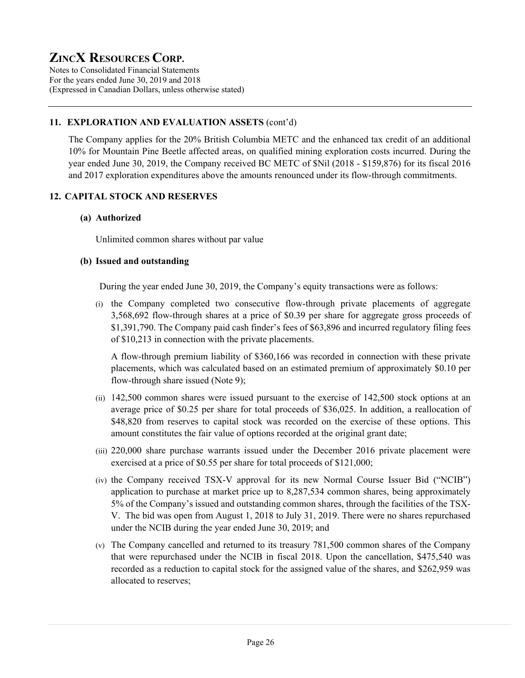Notes to Consolidated Financial Statements For the years ended June 30, 2019 and 2018 (Expressed in Canadian Dollars, unless otherwise stated)

# **11. EXPLORATION AND EVALUATION ASSETS** (cont'd)

The Company applies for the 20% British Columbia METC and the enhanced tax credit of an additional 10% for Mountain Pine Beetle affected areas, on qualified mining exploration costs incurred. During the year ended June 30, 2019, the Company received BC METC of \$Nil (2018 - \$159,876) for its fiscal 2016 and 2017 exploration expenditures above the amounts renounced under its flow-through commitments.

# **12. CAPITAL STOCK AND RESERVES**

# **(a) Authorized**

Unlimited common shares without par value

### **(b) Issued and outstanding**

During the year ended June 30, 2019, the Company's equity transactions were as follows:

(i) the Company completed two consecutive flow-through private placements of aggregate 3,568,692 flow-through shares at a price of \$0.39 per share for aggregate gross proceeds of \$1,391,790. The Company paid cash finder's fees of \$63,896 and incurred regulatory filing fees of \$10,213 in connection with the private placements.

A flow-through premium liability of \$360,166 was recorded in connection with these private placements, which was calculated based on an estimated premium of approximately \$0.10 per flow-through share issued (Note 9);

- (ii) 142,500 common shares were issued pursuant to the exercise of 142,500 stock options at an average price of \$0.25 per share for total proceeds of \$36,025. In addition, a reallocation of \$48,820 from reserves to capital stock was recorded on the exercise of these options. This amount constitutes the fair value of options recorded at the original grant date;
- (iii) 220,000 share purchase warrants issued under the December 2016 private placement were exercised at a price of \$0.55 per share for total proceeds of \$121,000;
- (iv) the Company received TSX-V approval for its new Normal Course Issuer Bid ("NCIB") application to purchase at market price up to 8,287,534 common shares, being approximately 5% of the Company's issued and outstanding common shares, through the facilities of the TSX-V. The bid was open from August 1, 2018 to July 31, 2019. There were no shares repurchased under the NCIB during the year ended June 30, 2019; and
- (v) The Company cancelled and returned to its treasury 781,500 common shares of the Company that were repurchased under the NCIB in fiscal 2018. Upon the cancellation, \$475,540 was recorded as a reduction to capital stock for the assigned value of the shares, and \$262,959 was allocated to reserves;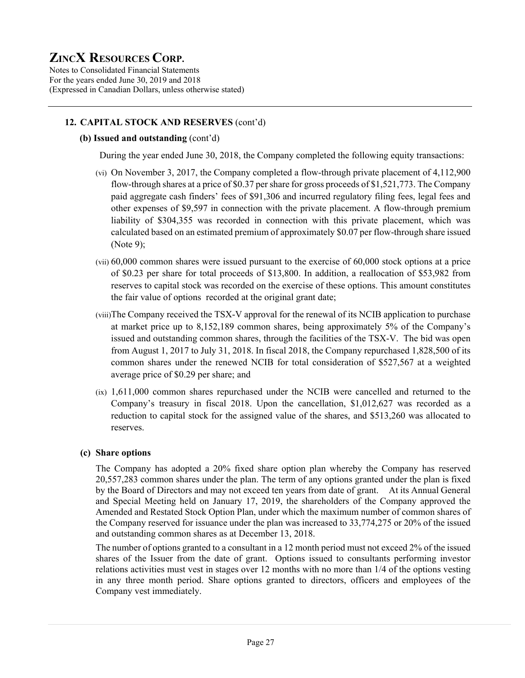Notes to Consolidated Financial Statements For the years ended June 30, 2019 and 2018 (Expressed in Canadian Dollars, unless otherwise stated)

# **12. CAPITAL STOCK AND RESERVES** (cont'd)

### **(b) Issued and outstanding** (cont'd)

During the year ended June 30, 2018, the Company completed the following equity transactions:

- (vi) On November 3, 2017, the Company completed a flow-through private placement of 4,112,900 flow-through shares at a price of \$0.37 per share for gross proceeds of \$1,521,773. The Company paid aggregate cash finders' fees of \$91,306 and incurred regulatory filing fees, legal fees and other expenses of \$9,597 in connection with the private placement. A flow-through premium liability of \$304,355 was recorded in connection with this private placement, which was calculated based on an estimated premium of approximately \$0.07 per flow-through share issued (Note 9);
- (vii) 60,000 common shares were issued pursuant to the exercise of 60,000 stock options at a price of \$0.23 per share for total proceeds of \$13,800. In addition, a reallocation of \$53,982 from reserves to capital stock was recorded on the exercise of these options. This amount constitutes the fair value of options recorded at the original grant date;
- (viii)The Company received the TSX-V approval for the renewal of its NCIB application to purchase at market price up to 8,152,189 common shares, being approximately 5% of the Company's issued and outstanding common shares, through the facilities of the TSX-V. The bid was open from August 1, 2017 to July 31, 2018. In fiscal 2018, the Company repurchased 1,828,500 of its common shares under the renewed NCIB for total consideration of \$527,567 at a weighted average price of \$0.29 per share; and
- (ix) 1,611,000 common shares repurchased under the NCIB were cancelled and returned to the Company's treasury in fiscal 2018. Upon the cancellation, \$1,012,627 was recorded as a reduction to capital stock for the assigned value of the shares, and \$513,260 was allocated to reserves.

#### **(c) Share options**

 The Company has adopted a 20% fixed share option plan whereby the Company has reserved 20,557,283 common shares under the plan. The term of any options granted under the plan is fixed by the Board of Directors and may not exceed ten years from date of grant. At its Annual General and Special Meeting held on January 17, 2019, the shareholders of the Company approved the Amended and Restated Stock Option Plan, under which the maximum number of common shares of the Company reserved for issuance under the plan was increased to 33,774,275 or 20% of the issued and outstanding common shares as at December 13, 2018.

The number of options granted to a consultant in a 12 month period must not exceed 2% of the issued shares of the Issuer from the date of grant. Options issued to consultants performing investor relations activities must vest in stages over 12 months with no more than 1/4 of the options vesting in any three month period. Share options granted to directors, officers and employees of the Company vest immediately.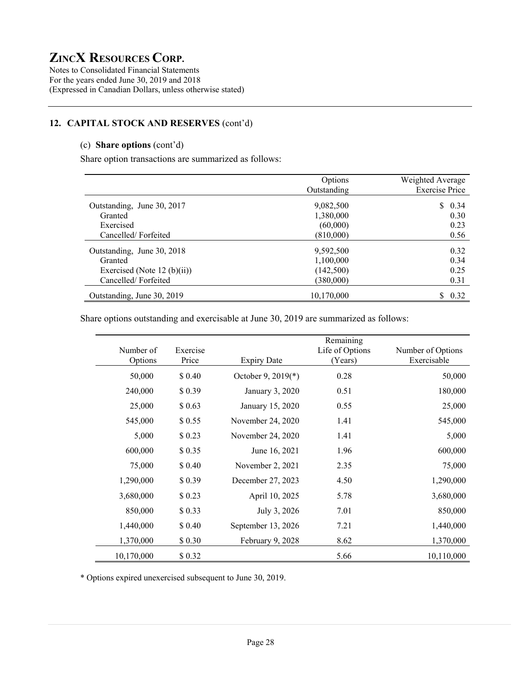Notes to Consolidated Financial Statements For the years ended June 30, 2019 and 2018 (Expressed in Canadian Dollars, unless otherwise stated)

# **12. CAPITAL STOCK AND RESERVES** (cont'd)

### (c) **Share options** (cont'd)

Share option transactions are summarized as follows:

|                             | Options     | Weighted Average      |
|-----------------------------|-------------|-----------------------|
|                             | Outstanding | <b>Exercise Price</b> |
| Outstanding, June 30, 2017  | 9,082,500   | \$0.34                |
| Granted                     | 1,380,000   | 0.30                  |
| Exercised                   | (60,000)    | 0.23                  |
| Cancelled/Forfeited         | (810,000)   | 0.56                  |
| Outstanding, June 30, 2018  | 9,592,500   | 0.32                  |
| Granted                     | 1,100,000   | 0.34                  |
| Exercised (Note 12 (b)(ii)) | (142,500)   | 0.25                  |
| Cancelled/Forfeited         | (380,000)   | 0.31                  |
| Outstanding, June 30, 2019  | 10,170,000  | S.<br>0.32            |

Share options outstanding and exercisable at June 30, 2019 are summarized as follows:

| Number of<br>Options | Exercise<br>Price |                    | Remaining<br>Life of Options | Number of Options<br>Exercisable |
|----------------------|-------------------|--------------------|------------------------------|----------------------------------|
|                      |                   | <b>Expiry Date</b> | (Years)                      |                                  |
| 50,000               | \$0.40            | October 9, 2019(*) | 0.28                         | 50,000                           |
| 240,000              | \$0.39            | January 3, 2020    | 0.51                         | 180,000                          |
| 25,000               | \$0.63            | January 15, 2020   | 0.55                         | 25,000                           |
| 545,000              | \$0.55            | November 24, 2020  | 1.41                         | 545,000                          |
| 5,000                | \$0.23            | November 24, 2020  | 1.41                         | 5,000                            |
| 600,000              | \$0.35            | June 16, 2021      | 1.96                         | 600,000                          |
| 75,000               | \$ 0.40           | November 2, 2021   | 2.35                         | 75,000                           |
| 1,290,000            | \$0.39            | December 27, 2023  | 4.50                         | 1,290,000                        |
| 3,680,000            | \$0.23            | April 10, 2025     | 5.78                         | 3,680,000                        |
| 850,000              | \$0.33            | July 3, 2026       | 7.01                         | 850,000                          |
| 1,440,000            | \$ 0.40           | September 13, 2026 | 7.21                         | 1,440,000                        |
| 1,370,000            | \$ 0.30           | February 9, 2028   | 8.62                         | 1,370,000                        |
| 10,170,000           | \$0.32            |                    | 5.66                         | 10,110,000                       |

\* Options expired unexercised subsequent to June 30, 2019.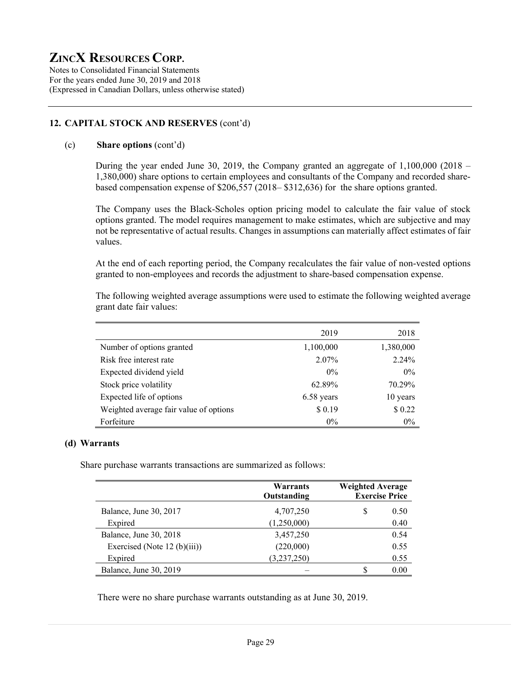Notes to Consolidated Financial Statements For the years ended June 30, 2019 and 2018 (Expressed in Canadian Dollars, unless otherwise stated)

# **12. CAPITAL STOCK AND RESERVES** (cont'd)

### (c) **Share options** (cont'd)

During the year ended June 30, 2019, the Company granted an aggregate of  $1,100,000$  (2018 – 1,380,000) share options to certain employees and consultants of the Company and recorded sharebased compensation expense of \$206,557 (2018– \$312,636) for the share options granted.

The Company uses the Black-Scholes option pricing model to calculate the fair value of stock options granted. The model requires management to make estimates, which are subjective and may not be representative of actual results. Changes in assumptions can materially affect estimates of fair values.

At the end of each reporting period, the Company recalculates the fair value of non-vested options granted to non-employees and records the adjustment to share-based compensation expense.

The following weighted average assumptions were used to estimate the following weighted average grant date fair values:

|                                        | 2019       | 2018      |
|----------------------------------------|------------|-----------|
| Number of options granted              | 1,100,000  | 1,380,000 |
| Risk free interest rate                | 2.07%      | 2.24%     |
| Expected dividend yield                | $0\%$      | $0\%$     |
| Stock price volatility                 | 62.89%     | 70.29%    |
| Expected life of options               | 6.58 years | 10 years  |
| Weighted average fair value of options | \$0.19     | \$ 0.22   |
| Forfeiture                             | $0\%$      | $0\%$     |

#### **(d) Warrants**

Share purchase warrants transactions are summarized as follows:

|                                  | Warrants<br>Outstanding | <b>Weighted Average</b><br><b>Exercise Price</b> |
|----------------------------------|-------------------------|--------------------------------------------------|
| Balance, June 30, 2017           | 4,707,250               | S<br>0.50                                        |
| Expired                          | (1,250,000)             | 0.40                                             |
| Balance, June 30, 2018           | 3,457,250               | 0.54                                             |
| Exercised (Note 12 (b) $(iii)$ ) | (220,000)               | 0.55                                             |
| Expired                          | (3,237,250)             | 0.55                                             |
| Balance, June 30, 2019           |                         | 0.00                                             |

There were no share purchase warrants outstanding as at June 30, 2019.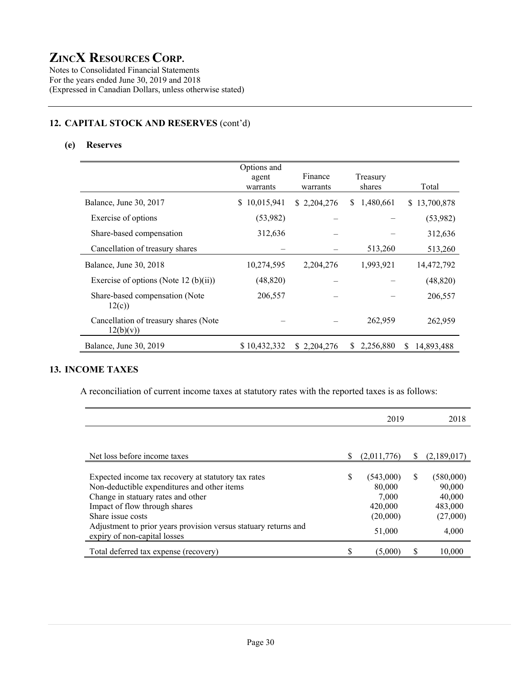Notes to Consolidated Financial Statements For the years ended June 30, 2019 and 2018 (Expressed in Canadian Dollars, unless otherwise stated)

# **12. CAPITAL STOCK AND RESERVES** (cont'd)

# **(e) Reserves**

|                                                    | Options and<br>agent<br>warrants | Finance<br>warrants | Treasury<br>shares | Total            |
|----------------------------------------------------|----------------------------------|---------------------|--------------------|------------------|
| Balance, June 30, 2017                             | 10,015,941<br>S.                 | \$2,204,276         | 1,480,661<br>S.    | \$13,700,878     |
| Exercise of options                                | (53,982)                         |                     |                    | (53,982)         |
| Share-based compensation                           | 312,636                          |                     |                    | 312,636          |
| Cancellation of treasury shares                    |                                  |                     | 513,260            | 513,260          |
| Balance, June 30, 2018                             | 10,274,595                       | 2,204,276           | 1,993,921          | 14,472,792       |
| Exercise of options (Note 12 (b)(ii))              | (48, 820)                        |                     |                    | (48, 820)        |
| Share-based compensation (Note<br>12(c)            | 206,557                          |                     |                    | 206,557          |
| Cancellation of treasury shares (Note<br>12(b)(v)) |                                  |                     | 262,959            | 262,959          |
| Balance, June 30, 2019                             | \$10,432,332                     | \$2.204,276         | 2,256,880<br>S.    | 14.893.488<br>S. |

# **13. INCOME TAXES**

A reconciliation of current income taxes at statutory rates with the reported taxes is as follows:

|                                                                                                                                                                                                |   | 2019                                                |   | 2018                                                 |
|------------------------------------------------------------------------------------------------------------------------------------------------------------------------------------------------|---|-----------------------------------------------------|---|------------------------------------------------------|
|                                                                                                                                                                                                |   |                                                     |   |                                                      |
| Net loss before income taxes                                                                                                                                                                   | S | (2,011,776)                                         | S | (2,189,017)                                          |
| Expected income tax recovery at statutory tax rates<br>Non-deductible expenditures and other items<br>Change in statuary rates and other<br>Impact of flow through shares<br>Share issue costs | S | (543,000)<br>80,000<br>7.000<br>420,000<br>(20,000) | S | (580,000)<br>90,000<br>40,000<br>483,000<br>(27,000) |
| Adjustment to prior years provision versus statuary returns and<br>expiry of non-capital losses                                                                                                |   | 51,000                                              |   | 4,000                                                |
| Total deferred tax expense (recovery)                                                                                                                                                          |   | (5,000)                                             | S | 10,000                                               |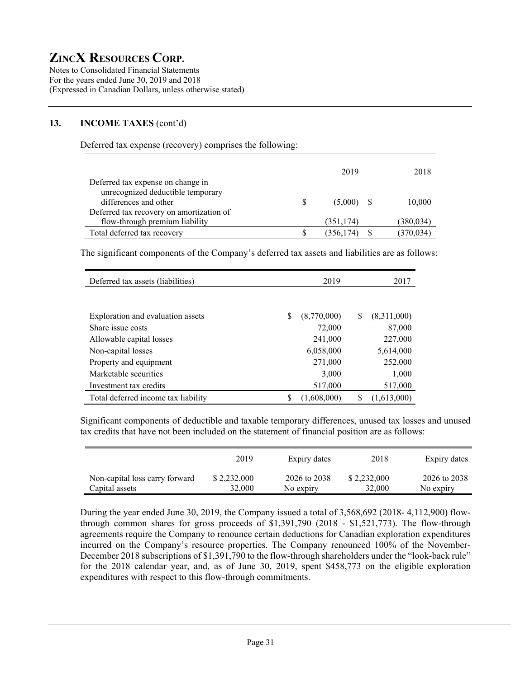Notes to Consolidated Financial Statements For the years ended June 30, 2019 and 2018 (Expressed in Canadian Dollars, unless otherwise stated)

# **13. INCOME TAXES** (cont'd)

Deferred tax expense (recovery) comprises the following:

|                                          | 2019         | 2018       |
|------------------------------------------|--------------|------------|
| Deferred tax expense on change in        |              |            |
| unrecognized deductible temporary        |              |            |
| differences and other                    | $(5,000)$ \$ | 10,000     |
| Deferred tax recovery on amortization of |              |            |
| flow-through premium liability           | (351, 174)   | (380, 034) |
| Total deferred tax recovery              | (356, 174)   | (370, 034) |

The significant components of the Company's deferred tax assets and liabilities are as follows:

| Deferred tax assets (liabilities)   |   | 2019        |   | 2017        |
|-------------------------------------|---|-------------|---|-------------|
|                                     |   |             |   |             |
| Exploration and evaluation assets   | S | (8,770,000) | S | (8,311,000) |
| Share issue costs                   |   | 72,000      |   | 87,000      |
| Allowable capital losses            |   | 241,000     |   | 227,000     |
| Non-capital losses                  |   | 6,058,000   |   | 5,614,000   |
| Property and equipment              |   | 271,000     |   | 252,000     |
| Marketable securities               |   | 3,000       |   | 1,000       |
| Investment tax credits              |   | 517,000     |   | 517,000     |
| Total deferred income tax liability |   | (1,608,000) | S | (1,613,000) |

Significant components of deductible and taxable temporary differences, unused tax losses and unused tax credits that have not been included on the statement of financial position are as follows:

|                                | 2019        | Expiry dates | 2018        | Expiry dates |
|--------------------------------|-------------|--------------|-------------|--------------|
| Non-capital loss carry forward | \$2,232,000 | 2026 to 2038 | \$2,232,000 | 2026 to 2038 |
| Capital assets                 | 32.000      | No expiry    | 32,000      | No expiry    |

During the year ended June 30, 2019, the Company issued a total of 3,568,692 (2018- 4,112,900) flowthrough common shares for gross proceeds of \$1,391,790 (2018 - \$1,521,773). The flow-through agreements require the Company to renounce certain deductions for Canadian exploration expenditures incurred on the Company's resource properties. The Company renounced 100% of the November-December 2018 subscriptions of \$1,391,790 to the flow-through shareholders under the "look-back rule" for the 2018 calendar year, and, as of June 30, 2019, spent \$458,773 on the eligible exploration expenditures with respect to this flow-through commitments.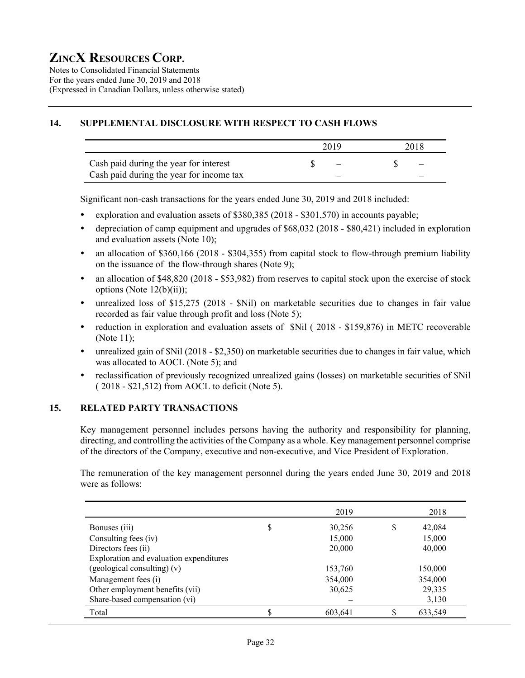Notes to Consolidated Financial Statements For the years ended June 30, 2019 and 2018 (Expressed in Canadian Dollars, unless otherwise stated)

# **14. SUPPLEMENTAL DISCLOSURE WITH RESPECT TO CASH FLOWS**

|                                          | 2019 | 2018 |
|------------------------------------------|------|------|
| Cash paid during the year for interest   |      |      |
| Cash paid during the year for income tax |      |      |

Significant non-cash transactions for the years ended June 30, 2019 and 2018 included:

- exploration and evaluation assets of \$380,385 (2018 \$301,570) in accounts payable;
- depreciation of camp equipment and upgrades of \$68,032 (2018 \$80,421) included in exploration and evaluation assets (Note 10);
- an allocation of \$360,166 (2018 \$304,355) from capital stock to flow-through premium liability on the issuance of the flow-through shares (Note 9);
- an allocation of \$48,820 (2018 \$53,982) from reserves to capital stock upon the exercise of stock options (Note  $12(b)(ii)$ );
- unrealized loss of \$15,275 (2018 \$Nil) on marketable securities due to changes in fair value recorded as fair value through profit and loss (Note 5);
- reduction in exploration and evaluation assets of \$Nil (2018 \$159,876) in METC recoverable (Note 11);
- unrealized gain of \$Nil (2018 \$2,350) on marketable securities due to changes in fair value, which was allocated to AOCL (Note 5); and
- reclassification of previously recognized unrealized gains (losses) on marketable securities of \$Nil ( 2018 - \$21,512) from AOCL to deficit (Note 5).

# **15. RELATED PARTY TRANSACTIONS**

Key management personnel includes persons having the authority and responsibility for planning, directing, and controlling the activities of the Company as a whole. Key management personnel comprise of the directors of the Company, executive and non-executive, and Vice President of Exploration.

The remuneration of the key management personnel during the years ended June 30, 2019 and 2018 were as follows:

|                                         |    | 2019    |    | 2018    |
|-----------------------------------------|----|---------|----|---------|
| Bonuses (iii)                           | \$ | 30,256  | S  | 42,084  |
| Consulting fees (iv)                    |    | 15,000  |    | 15,000  |
| Directors fees (ii)                     |    | 20,000  |    | 40,000  |
| Exploration and evaluation expenditures |    |         |    |         |
| (geological consulting) $(v)$           |    | 153,760 |    | 150,000 |
| Management fees (i)                     |    | 354,000 |    | 354,000 |
| Other employment benefits (vii)         |    | 30,625  |    | 29,335  |
| Share-based compensation (vi)           |    |         |    | 3,130   |
| Total                                   | S  | 603,641 | \$ | 633,549 |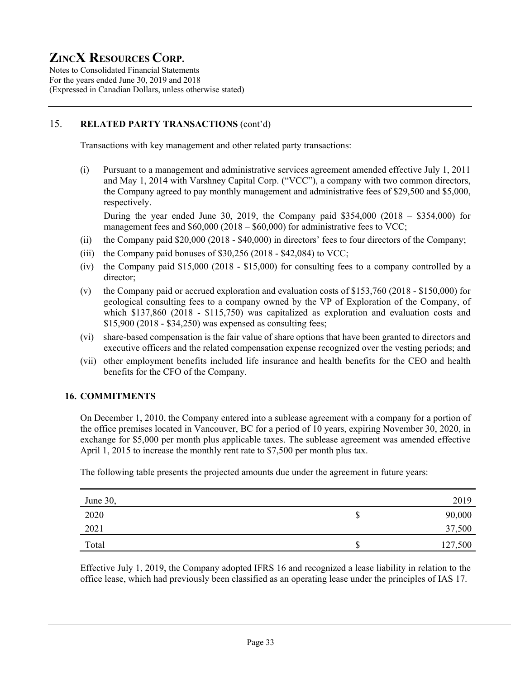Notes to Consolidated Financial Statements For the years ended June 30, 2019 and 2018 (Expressed in Canadian Dollars, unless otherwise stated)

# 15. **RELATED PARTY TRANSACTIONS** (cont'd)

Transactions with key management and other related party transactions:

(i) Pursuant to a management and administrative services agreement amended effective July 1, 2011 and May 1, 2014 with Varshney Capital Corp. ("VCC"), a company with two common directors, the Company agreed to pay monthly management and administrative fees of \$29,500 and \$5,000, respectively.

During the year ended June 30, 2019, the Company paid  $$354,000$  (2018 –  $$354,000$ ) for management fees and \$60,000 (2018 – \$60,000) for administrative fees to VCC;

- (ii) the Company paid \$20,000 (2018 \$40,000) in directors' fees to four directors of the Company;
- (iii) the Company paid bonuses of  $$30,256$  (2018  $$42,084$ ) to VCC;
- (iv) the Company paid \$15,000 (2018 \$15,000) for consulting fees to a company controlled by a director;
- (v) the Company paid or accrued exploration and evaluation costs of \$153,760 (2018 \$150,000) for geological consulting fees to a company owned by the VP of Exploration of the Company, of which \$137,860 (2018 - \$115,750) was capitalized as exploration and evaluation costs and \$15,900 (2018 - \$34,250) was expensed as consulting fees;
- (vi) share-based compensation is the fair value of share options that have been granted to directors and executive officers and the related compensation expense recognized over the vesting periods; and
- (vii) other employment benefits included life insurance and health benefits for the CEO and health benefits for the CFO of the Company.

# **16. COMMITMENTS**

On December 1, 2010, the Company entered into a sublease agreement with a company for a portion of the office premises located in Vancouver, BC for a period of 10 years, expiring November 30, 2020, in exchange for \$5,000 per month plus applicable taxes. The sublease agreement was amended effective April 1, 2015 to increase the monthly rent rate to \$7,500 per month plus tax.

The following table presents the projected amounts due under the agreement in future years:

| June 30, |         | 2019    |
|----------|---------|---------|
| 2020     | P       | 90,000  |
| 2021     |         | 37,500  |
| Total    | ¢<br>۰D | 127,500 |

Effective July 1, 2019, the Company adopted IFRS 16 and recognized a lease liability in relation to the office lease, which had previously been classified as an operating lease under the principles of IAS 17.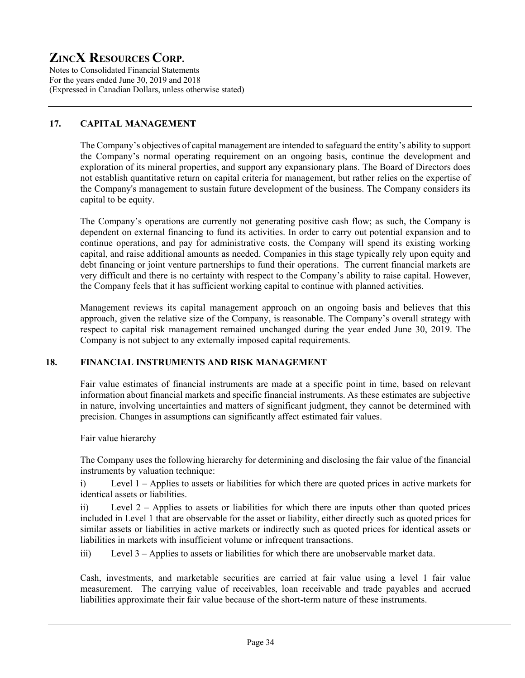Notes to Consolidated Financial Statements For the years ended June 30, 2019 and 2018 (Expressed in Canadian Dollars, unless otherwise stated)

# **17. CAPITAL MANAGEMENT**

The Company's objectives of capital management are intended to safeguard the entity's ability to support the Company's normal operating requirement on an ongoing basis, continue the development and exploration of its mineral properties, and support any expansionary plans. The Board of Directors does not establish quantitative return on capital criteria for management, but rather relies on the expertise of the Company's management to sustain future development of the business. The Company considers its capital to be equity.

The Company's operations are currently not generating positive cash flow; as such, the Company is dependent on external financing to fund its activities. In order to carry out potential expansion and to continue operations, and pay for administrative costs, the Company will spend its existing working capital, and raise additional amounts as needed. Companies in this stage typically rely upon equity and debt financing or joint venture partnerships to fund their operations. The current financial markets are very difficult and there is no certainty with respect to the Company's ability to raise capital. However, the Company feels that it has sufficient working capital to continue with planned activities.

Management reviews its capital management approach on an ongoing basis and believes that this approach, given the relative size of the Company, is reasonable. The Company's overall strategy with respect to capital risk management remained unchanged during the year ended June 30, 2019. The Company is not subject to any externally imposed capital requirements.

# **18. FINANCIAL INSTRUMENTS AND RISK MANAGEMENT**

Fair value estimates of financial instruments are made at a specific point in time, based on relevant information about financial markets and specific financial instruments. As these estimates are subjective in nature, involving uncertainties and matters of significant judgment, they cannot be determined with precision. Changes in assumptions can significantly affect estimated fair values.

Fair value hierarchy

The Company uses the following hierarchy for determining and disclosing the fair value of the financial instruments by valuation technique:

i) Level 1 – Applies to assets or liabilities for which there are quoted prices in active markets for identical assets or liabilities.

ii) Level 2 – Applies to assets or liabilities for which there are inputs other than quoted prices included in Level 1 that are observable for the asset or liability, either directly such as quoted prices for similar assets or liabilities in active markets or indirectly such as quoted prices for identical assets or liabilities in markets with insufficient volume or infrequent transactions.

iii) Level 3 – Applies to assets or liabilities for which there are unobservable market data.

Cash, investments, and marketable securities are carried at fair value using a level 1 fair value measurement. The carrying value of receivables, loan receivable and trade payables and accrued liabilities approximate their fair value because of the short-term nature of these instruments.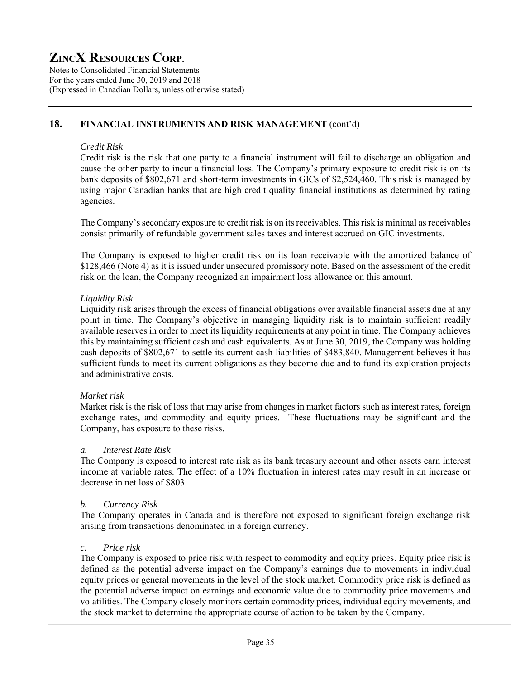Notes to Consolidated Financial Statements For the years ended June 30, 2019 and 2018 (Expressed in Canadian Dollars, unless otherwise stated)

# **18. FINANCIAL INSTRUMENTS AND RISK MANAGEMENT** (cont'd)

#### *Credit Risk*

Credit risk is the risk that one party to a financial instrument will fail to discharge an obligation and cause the other party to incur a financial loss. The Company's primary exposure to credit risk is on its bank deposits of \$802,671 and short-term investments in GICs of \$2,524,460. This risk is managed by using major Canadian banks that are high credit quality financial institutions as determined by rating agencies.

The Company's secondary exposure to credit risk is on its receivables. This risk is minimal as receivables consist primarily of refundable government sales taxes and interest accrued on GIC investments.

The Company is exposed to higher credit risk on its loan receivable with the amortized balance of \$128,466 (Note 4) as it is issued under unsecured promissory note. Based on the assessment of the credit risk on the loan, the Company recognized an impairment loss allowance on this amount.

#### *Liquidity Risk*

Liquidity risk arises through the excess of financial obligations over available financial assets due at any point in time. The Company's objective in managing liquidity risk is to maintain sufficient readily available reserves in order to meet its liquidity requirements at any point in time. The Company achieves this by maintaining sufficient cash and cash equivalents. As at June 30, 2019, the Company was holding cash deposits of \$802,671 to settle its current cash liabilities of \$483,840. Management believes it has sufficient funds to meet its current obligations as they become due and to fund its exploration projects and administrative costs.

#### *Market risk*

Market risk is the risk of loss that may arise from changes in market factors such as interest rates, foreign exchange rates, and commodity and equity prices. These fluctuations may be significant and the Company, has exposure to these risks.

#### *a. Interest Rate Risk*

The Company is exposed to interest rate risk as its bank treasury account and other assets earn interest income at variable rates. The effect of a 10% fluctuation in interest rates may result in an increase or decrease in net loss of \$803.

#### *b. Currency Risk*

The Company operates in Canada and is therefore not exposed to significant foreign exchange risk arising from transactions denominated in a foreign currency.

#### *c. Price risk*

The Company is exposed to price risk with respect to commodity and equity prices. Equity price risk is defined as the potential adverse impact on the Company's earnings due to movements in individual equity prices or general movements in the level of the stock market. Commodity price risk is defined as the potential adverse impact on earnings and economic value due to commodity price movements and volatilities. The Company closely monitors certain commodity prices, individual equity movements, and the stock market to determine the appropriate course of action to be taken by the Company.